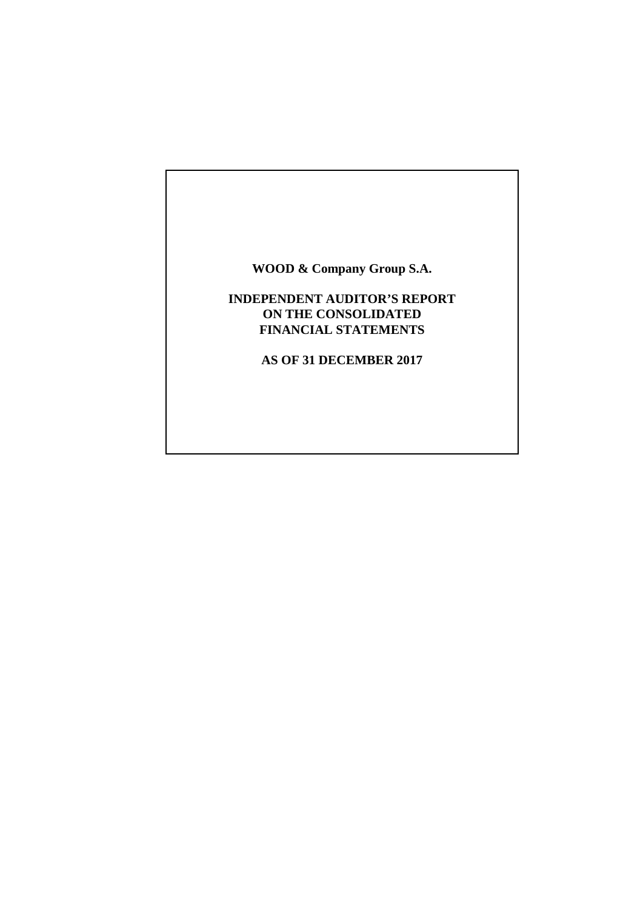# **WOOD & Company Group S.A.**

# **INDEPENDENT AUDITOR'S REPORT ON THE CONSOLIDATED FINANCIAL STATEMENTS**

**AS OF 31 DECEMBER 2017**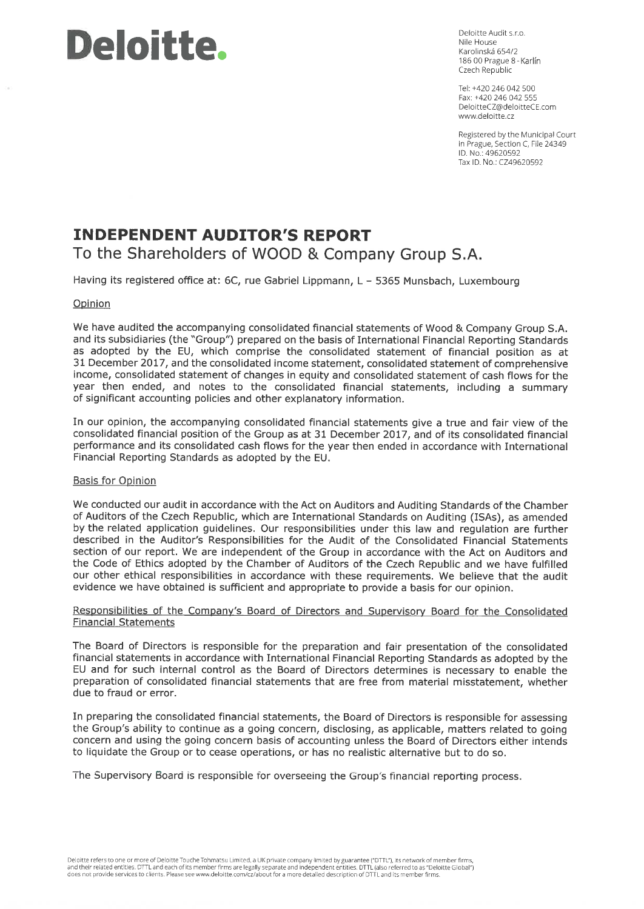# **Deloitte**.

Deloitte Audit s.r.o. Nile House Karolinská 654/2 186 00 Prague 8 - Karlín Czech Republic

Tel: +420 246 042 500 Fax: +420 246 042 555 DeloitteCZ@deloitteCE.com www.deloitte.cz

Registered by the Municipal Court in Prague, Section C, File 24349 ID. No.: 49620592 Tax ID. No.: CZ49620592

# **INDEPENDENT AUDITOR'S REPORT**

To the Shareholders of WOOD & Company Group S.A.

Having its registered office at: 6C, rue Gabriel Lippmann, L - 5365 Munsbach, Luxembourg

### Opinion

We have audited the accompanying consolidated financial statements of Wood & Company Group S.A. and its subsidiaries (the "Group") prepared on the basis of International Financial Reporting Standards as adopted by the EU, which comprise the consolidated statement of financial position as at 31 December 2017, and the consolidated income statement, consolidated statement of comprehensive income, consolidated statement of changes in equity and consolidated statement of cash flows for the year then ended, and notes to the consolidated financial statements, including a summary of significant accounting policies and other explanatory information.

In our opinion, the accompanying consolidated financial statements give a true and fair view of the consolidated financial position of the Group as at 31 December 2017, and of its consolidated financial performance and its consolidated cash flows for the year then ended in accordance with International Financial Reporting Standards as adopted by the EU.

## **Basis for Opinion**

We conducted our audit in accordance with the Act on Auditors and Auditing Standards of the Chamber of Auditors of the Czech Republic, which are International Standards on Auditing (ISAs), as amended by the related application guidelines. Our responsibilities under this law and regulation are further described in the Auditor's Responsibilities for the Audit of the Consolidated Financial Statements section of our report. We are independent of the Group in accordance with the Act on Auditors and the Code of Ethics adopted by the Chamber of Auditors of the Czech Republic and we have fulfilled our other ethical responsibilities in accordance with these requirements. We believe that the audit evidence we have obtained is sufficient and appropriate to provide a basis for our opinion.

#### Responsibilities of the Company's Board of Directors and Supervisory Board for the Consolidated **Financial Statements**

The Board of Directors is responsible for the preparation and fair presentation of the consolidated financial statements in accordance with International Financial Reporting Standards as adopted by the EU and for such internal control as the Board of Directors determines is necessary to enable the preparation of consolidated financial statements that are free from material misstatement, whether due to fraud or error.

In preparing the consolidated financial statements, the Board of Directors is responsible for assessing the Group's ability to continue as a going concern, disclosing, as applicable, matters related to going concern and using the going concern basis of accounting unless the Board of Directors either intends to liquidate the Group or to cease operations, or has no realistic alternative but to do so.

The Supervisory Board is responsible for overseeing the Group's financial reporting process.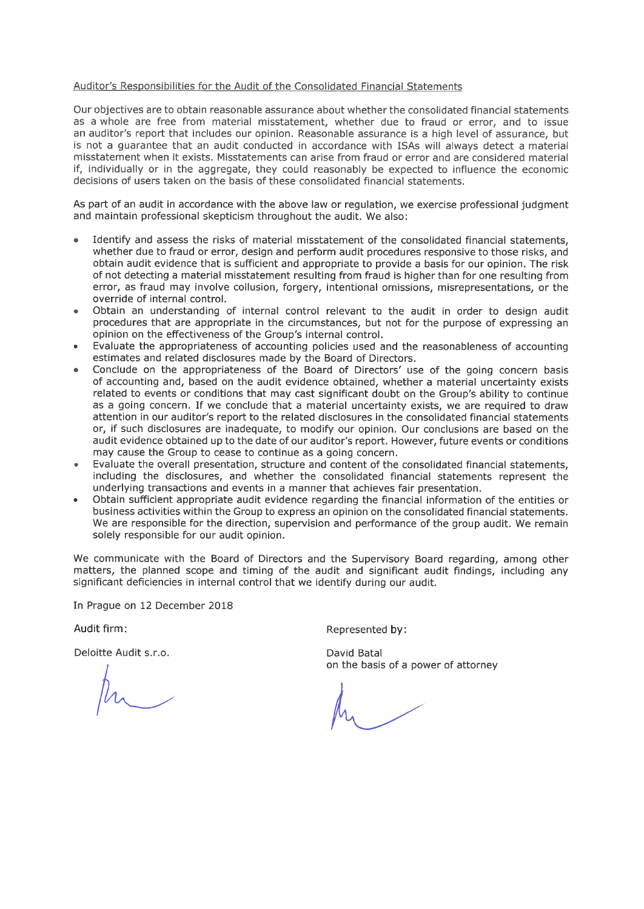#### Auditor's Responsibilities for the Audit of the Consolidated Financial Statements

Our objectives are to obtain reasonable assurance about whether the consolidated financial statements as a whole are free from material misstatement, whether due to fraud or error, and to issue an auditor's report that includes our opinion. Reasonable assurance is a high level of assurance, but is not a quarantee that an audit conducted in accordance with ISAs will always detect a material misstatement when it exists. Misstatements can arise from fraud or error and are considered material if, individually or in the aggregate, they could reasonably be expected to influence the economic decisions of users taken on the basis of these consolidated financial statements.

As part of an audit in accordance with the above law or regulation, we exercise professional judgment and maintain professional skepticism throughout the audit. We also:

- Identify and assess the risks of material misstatement of the consolidated financial statements, whether due to fraud or error, design and perform audit procedures responsive to those risks, and obtain audit evidence that is sufficient and appropriate to provide a basis for our opinion. The risk of not detecting a material misstatement resulting from fraud is higher than for one resulting from error, as fraud may involve collusion, forgery, intentional omissions, misrepresentations, or the override of internal control.
- Obtain an understanding of internal control relevant to the audit in order to design audit  $\bullet$ procedures that are appropriate in the circumstances, but not for the purpose of expressing an opinion on the effectiveness of the Group's internal control.
- Evaluate the appropriateness of accounting policies used and the reasonableness of accounting estimates and related disclosures made by the Board of Directors.
- Conclude on the appropriateness of the Board of Directors' use of the going concern basis of accounting and, based on the audit evidence obtained, whether a material uncertainty exists related to events or conditions that may cast significant doubt on the Group's ability to continue as a going concern. If we conclude that a material uncertainty exists, we are required to draw attention in our auditor's report to the related disclosures in the consolidated financial statements or, if such disclosures are inadequate, to modify our opinion. Our conclusions are based on the audit evidence obtained up to the date of our auditor's report. However, future events or conditions may cause the Group to cease to continue as a going concern.
- Evaluate the overall presentation, structure and content of the consolidated financial statements, including the disclosures, and whether the consolidated financial statements represent the underlying transactions and events in a manner that achieves fair presentation.
- Obtain sufficient appropriate audit evidence regarding the financial information of the entities or business activities within the Group to express an opinion on the consolidated financial statements. We are responsible for the direction, supervision and performance of the group audit. We remain solely responsible for our audit opinion.

We communicate with the Board of Directors and the Supervisory Board regarding, among other matters, the planned scope and timing of the audit and significant audit findings, including any significant deficiencies in internal control that we identify during our audit.

In Prague on 12 December 2018

Audit firm:

Deloitte Audit s.r.o.

Represented by:

David Batal on the basis of a power of attorney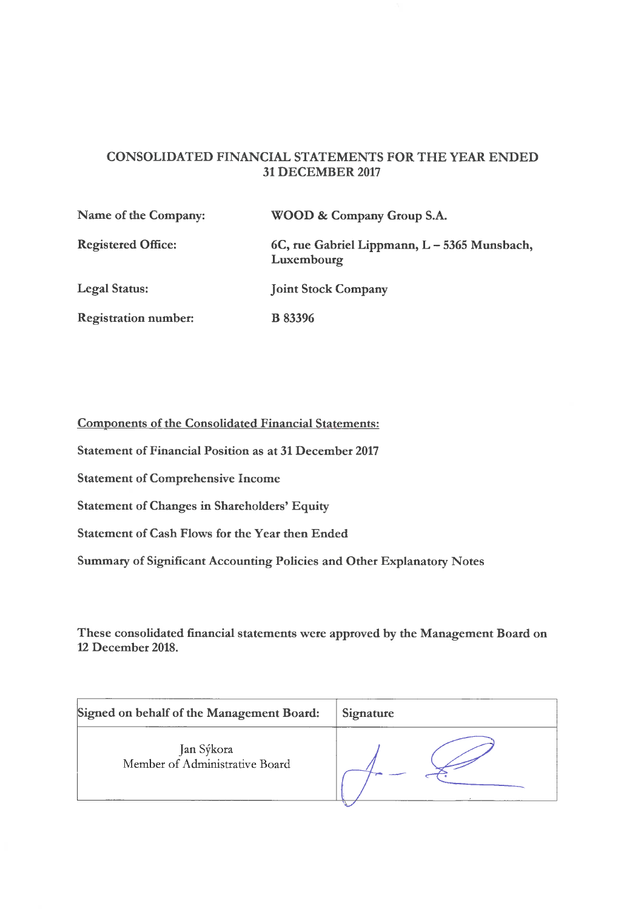# CONSOLIDATED FINANCIAL STATEMENTS FOR THE YEAR ENDED **31 DECEMBER 2017**

| Name of the Company:        | WOOD & Company Group S.A.                                  |
|-----------------------------|------------------------------------------------------------|
| <b>Registered Office:</b>   | 6C, rue Gabriel Lippmann, L – 5365 Munsbach,<br>Luxembourg |
| <b>Legal Status:</b>        | <b>Joint Stock Company</b>                                 |
| <b>Registration number:</b> | <b>B</b> 83396                                             |

**Components of the Consolidated Financial Statements:** 

**Statement of Financial Position as at 31 December 2017** 

**Statement of Comprehensive Income** 

**Statement of Changes in Shareholders' Equity** 

**Statement of Cash Flows for the Year then Ended** 

Summary of Significant Accounting Policies and Other Explanatory Notes

These consolidated financial statements were approved by the Management Board on 12 December 2018.

| Signed on behalf of the Management Board:    | Signature |
|----------------------------------------------|-----------|
| Jan Sýkora<br>Member of Administrative Board |           |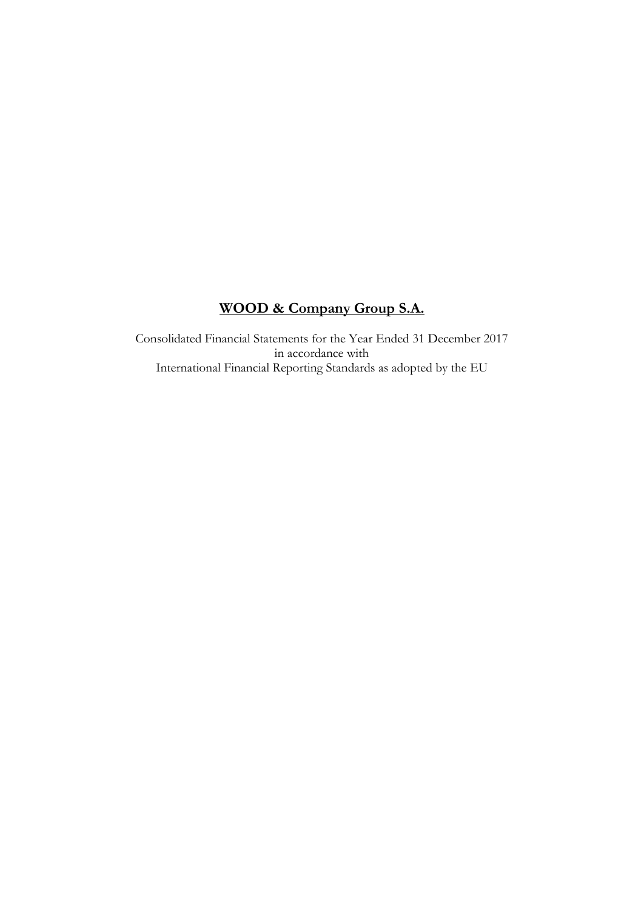# **WOOD & Company Group S.A.**

Consolidated Financial Statements for the Year Ended 31 December 2017 in accordance with International Financial Reporting Standards as adopted by the EU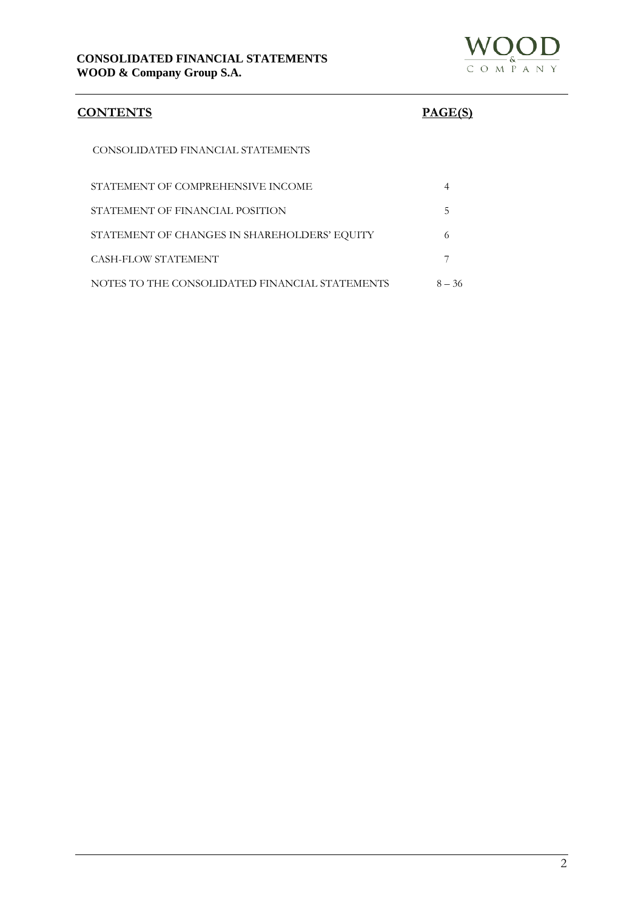

# **CONTENTS PAGE(S)**

CONSOLIDATED FINANCIAL STATEMENTS

| STATEMENT OF COMPREHENSIVE INCOME              |          |
|------------------------------------------------|----------|
| STATEMENT OF FINANCIAL POSITION                |          |
| STATEMENT OF CHANGES IN SHAREHOLDERS' EQUITY   |          |
| CASH-FLOW STATEMENT                            |          |
| NOTES TO THE CONSOLIDATED FINANCIAL STATEMENTS | $8 - 36$ |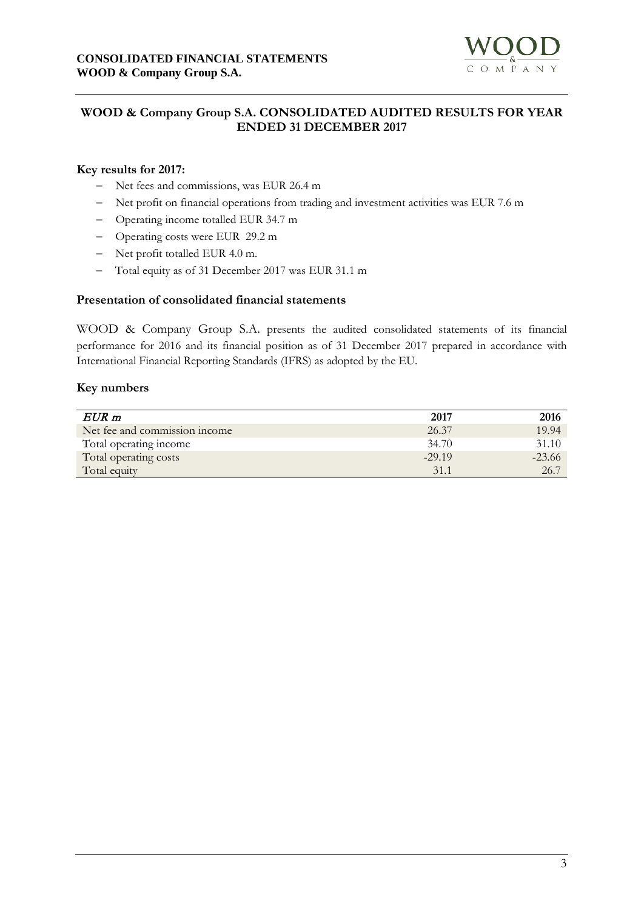

# **WOOD & Company Group S.A. CONSOLIDATED AUDITED RESULTS FOR YEAR ENDED 31 DECEMBER 2017**

# **Key results for 2017:**

- − Net fees and commissions, was EUR 26.4 m
- − Net profit on financial operations from trading and investment activities was EUR 7.6 m
- − Operating income totalled EUR 34.7 m
- − Operating costs were EUR 29.2 m
- − Net profit totalled EUR 4.0 m.
- − Total equity as of 31 December 2017 was EUR 31.1 m

# **Presentation of consolidated financial statements**

WOOD & Company Group S.A. presents the audited consolidated statements of its financial performance for 2016 and its financial position as of 31 December 2017 prepared in accordance with International Financial Reporting Standards (IFRS) as adopted by the EU.

# **Key numbers**

| $EUR$ m                       | 2017     | 2016     |
|-------------------------------|----------|----------|
| Net fee and commission income | 26.37    | 19.94    |
| Total operating income        | 34.70    | 31.10    |
| Total operating costs         | $-29.19$ | $-23.66$ |
| Total equity                  | 31.1     | 26.7     |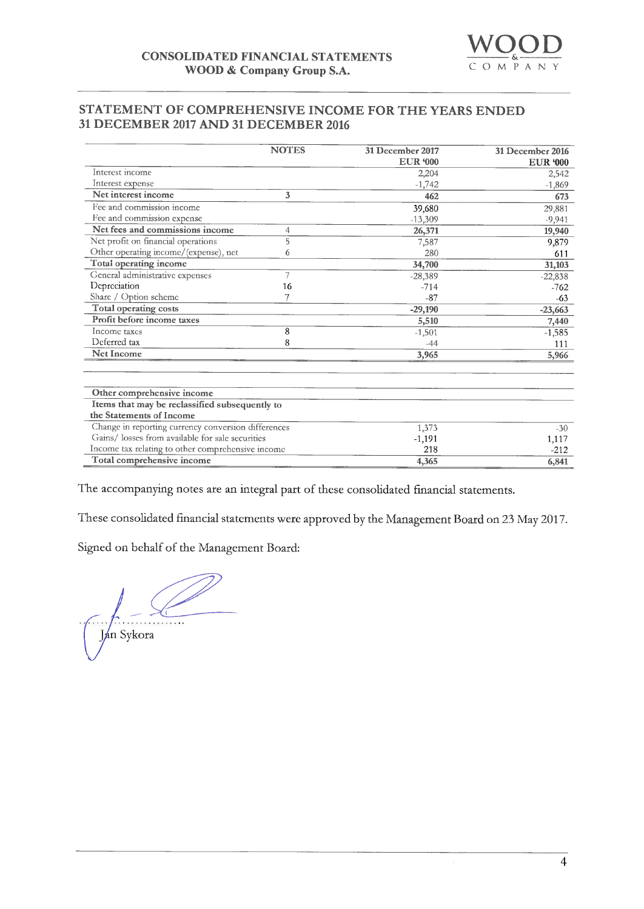

# STATEMENT OF COMPREHENSIVE INCOME FOR THE YEARS ENDED 31 DECEMBER 2017 AND 31 DECEMBER 2016

|                                                                            | <b>NOTES</b>            | 31 December 2017 | 31 December 2016 |
|----------------------------------------------------------------------------|-------------------------|------------------|------------------|
|                                                                            |                         | <b>EUR</b> '000  | <b>EUR '000</b>  |
| Interest income                                                            |                         | 2,204            | 2,542            |
| Interest expense                                                           |                         | $-1,742$         | $-1,869$         |
| Net interest income                                                        | $\overline{\mathbf{3}}$ | 462              | 673              |
| Fee and commission income                                                  |                         | 39,680           | 29,881           |
| Fee and commission expense                                                 |                         | $-13,309$        | $-9,941$         |
| Net fees and commissions income                                            | $\overline{4}$          | 26,371           | 19,940           |
| Net profit on financial operations                                         | 5                       | 7,587            | 9,879            |
| Other operating income/(expense), net                                      | 6                       | 280              | 611              |
| Total operating income                                                     |                         | 34,700           | 31,103           |
| General administrative expenses                                            | 7                       | $-28,389$        | $-22,838$        |
| Depreciation                                                               | 16                      | $-714$           | $-762$           |
| Share / Option scheme                                                      |                         | $-87$            | $-63$            |
| Total operating costs                                                      |                         | $-29,190$        | $-23,663$        |
| Profit before income taxes                                                 |                         | 5,510            | 7,440            |
| Income taxes                                                               | 8                       | $-1,501$         | $-1,585$         |
| Deferred tax                                                               | 8                       | $-44$            | 111              |
| <b>Net Income</b>                                                          |                         | 3,965            | 5,966            |
|                                                                            |                         |                  |                  |
| Other comprehensive income                                                 |                         |                  |                  |
| Items that may be reclassified subsequently to<br>the Statements of Income |                         |                  |                  |
| Change in reporting currency conversion differences                        |                         | 1,373            | $-30$            |
| Gains/losses from available for sale securities                            |                         | $-1,191$         | 1,117            |
| Income tax relating to other comprehensive income                          |                         | 218              | $-212$           |
| Total comprehensive income                                                 |                         | 4,365            | 6,841            |

The accompanying notes are an integral part of these consolidated financial statements.

These consolidated financial statements were approved by the Management Board on 23 May 2017.

Signed on behalf of the Management Board:

Jan Sykora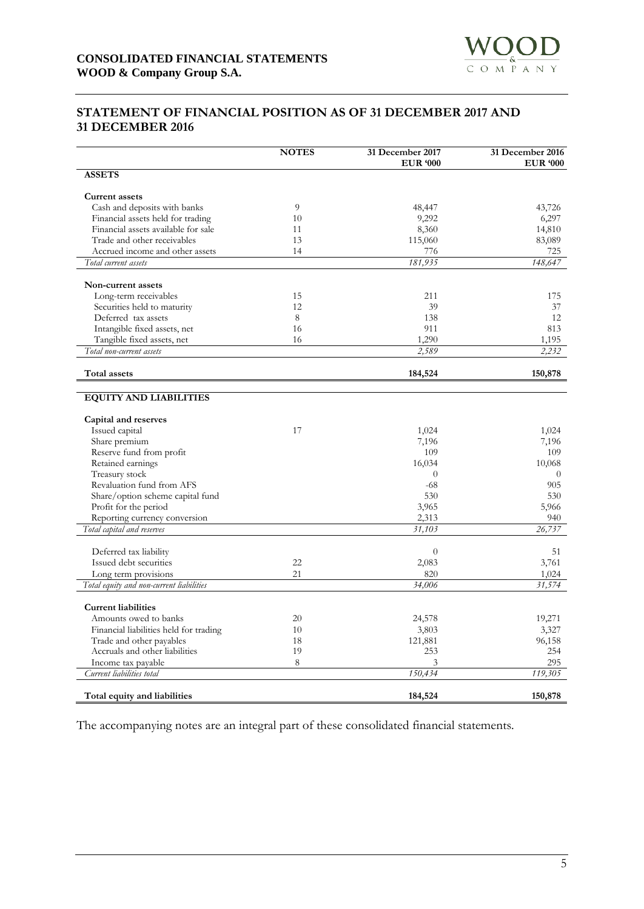# **STATEMENT OF FINANCIAL POSITION AS OF 31 DECEMBER 2017 AND 31 DECEMBER 2016**

|                                          | <b>NOTES</b> | 31 December 2017<br><b>EUR '000</b> | 31 December 2016<br><b>EUR '000</b> |
|------------------------------------------|--------------|-------------------------------------|-------------------------------------|
| <b>ASSETS</b>                            |              |                                     |                                     |
| <b>Current assets</b>                    |              |                                     |                                     |
| Cash and deposits with banks             | 9            | 48,447                              | 43,726                              |
| Financial assets held for trading        | 10           | 9,292                               | 6,297                               |
| Financial assets available for sale      | 11           | 8,360                               | 14,810                              |
| Trade and other receivables              | 13           | 115,060                             | 83,089                              |
| Accrued income and other assets          | 14           | 776                                 | 725                                 |
| Total current assets                     |              | 181,935                             | 148,647                             |
| Non-current assets                       |              |                                     |                                     |
| Long-term receivables                    | 15           | 211                                 | 175                                 |
| Securities held to maturity              | 12           | 39                                  | 37                                  |
| Deferred tax assets                      | 8            | 138                                 | 12                                  |
| Intangible fixed assets, net             | 16           | 911                                 | 813                                 |
| Tangible fixed assets, net               | 16           | 1,290                               | 1,195                               |
| Total non-current assets                 |              | 2,589                               | 2,232                               |
| <b>Total assets</b>                      |              | 184,524                             | 150,878                             |
|                                          |              |                                     |                                     |
| <b>EQUITY AND LIABILITIES</b>            |              |                                     |                                     |
| Capital and reserves                     |              |                                     |                                     |
| Issued capital                           | 17           | 1,024                               | 1,024                               |
| Share premium                            |              | 7,196                               | 7,196                               |
| Reserve fund from profit                 |              | 109                                 | 109                                 |
| Retained earnings                        |              | 16,034                              | 10,068                              |
| Treasury stock                           |              | $\theta$                            | $\theta$                            |
| Revaluation fund from AFS                |              | $-68$                               | 905                                 |
| Share/option scheme capital fund         |              | 530                                 | 530                                 |
| Profit for the period                    |              | 3,965                               | 5,966                               |
| Reporting currency conversion            |              | 2,313                               | 940                                 |
| Total capital and reserves               |              | 31,103                              | 26,737                              |
| Deferred tax liability                   |              | $\overline{0}$                      | 51                                  |
| Issued debt securities                   | 22           | 2,083                               | 3,761                               |
| Long term provisions                     | 21           | 820                                 | 1,024                               |
| Total equity and non-current liabilities |              | 34,006                              | 31,574                              |
| <b>Current liabilities</b>               |              |                                     |                                     |
| Amounts owed to banks                    | 20           | 24,578                              | 19,271                              |
| Financial liabilities held for trading   | 10           | 3,803                               | 3,327                               |
| Trade and other payables                 | 18           | 121,881                             | 96,158                              |
| Accruals and other liabilities           | 19           | 253                                 | 254                                 |
| Income tax payable                       | 8            | 3                                   | 295                                 |
| Current liabilities total                |              | 150,434                             | 119,305                             |
|                                          |              | 184,524                             | 150,878                             |
| Total equity and liabilities             |              |                                     |                                     |

The accompanying notes are an integral part of these consolidated financial statements.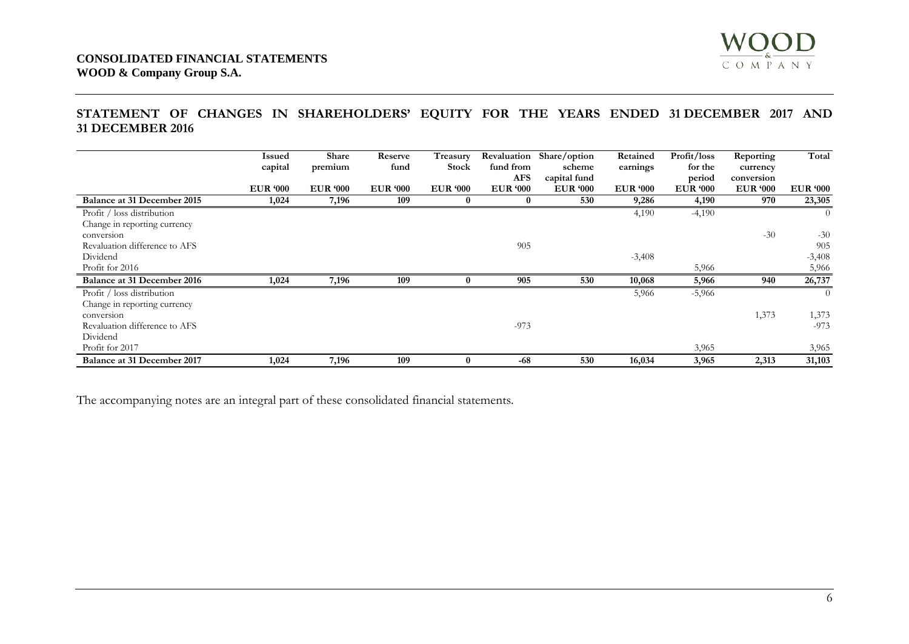

# **STATEMENT OF CHANGES IN SHAREHOLDERS' EQUITY FOR THE YEARS ENDED 31 DECEMBER 2017 AND 31 DECEMBER 2016**

|                               | <b>Issued</b>   | Share           | Reserve         | Treasury        | Revaluation     | Share/option    | Retained        | Profit/loss     | Reporting       | Total           |
|-------------------------------|-----------------|-----------------|-----------------|-----------------|-----------------|-----------------|-----------------|-----------------|-----------------|-----------------|
|                               | capital         | premium         | fund            | <b>Stock</b>    | fund from       | scheme          | earnings        | for the         | currency        |                 |
|                               |                 |                 |                 |                 | <b>AFS</b>      | capital fund    |                 | period          | conversion      |                 |
|                               | <b>EUR '000</b> | <b>EUR '000</b> | <b>EUR '000</b> | <b>EUR '000</b> | <b>EUR '000</b> | <b>EUR '000</b> | <b>EUR '000</b> | <b>EUR '000</b> | <b>EUR '000</b> | <b>EUR '000</b> |
| Balance at 31 December 2015   | 1,024           | 7,196           | 109             | $\bf{0}$        | $\bf{0}$        | 530             | 9,286           | 4,190           | 970             | 23,305          |
| Profit / loss distribution    |                 |                 |                 |                 |                 |                 | 4,190           | $-4,190$        |                 | $\Omega$        |
| Change in reporting currency  |                 |                 |                 |                 |                 |                 |                 |                 |                 |                 |
| conversion                    |                 |                 |                 |                 |                 |                 |                 |                 | $-30$           | $-30$           |
| Revaluation difference to AFS |                 |                 |                 |                 | 905             |                 |                 |                 |                 | 905             |
| Dividend                      |                 |                 |                 |                 |                 |                 | $-3,408$        |                 |                 | $-3,408$        |
| Profit for 2016               |                 |                 |                 |                 |                 |                 |                 | 5,966           |                 | 5,966           |
| Balance at 31 December 2016   | 1,024           | 7,196           | 109             | $\mathbf{0}$    | 905             | 530             | 10,068          | 5,966           | 940             | 26,737          |
| Profit / loss distribution    |                 |                 |                 |                 |                 |                 | 5,966           | $-5,966$        |                 | $\theta$        |
| Change in reporting currency  |                 |                 |                 |                 |                 |                 |                 |                 |                 |                 |
| conversion                    |                 |                 |                 |                 |                 |                 |                 |                 | 1,373           | 1,373           |
| Revaluation difference to AFS |                 |                 |                 |                 | $-973$          |                 |                 |                 |                 | $-973$          |
| Dividend                      |                 |                 |                 |                 |                 |                 |                 |                 |                 |                 |
| Profit for 2017               |                 |                 |                 |                 |                 |                 |                 | 3,965           |                 | 3,965           |
| Balance at 31 December 2017   | 1,024           | 7,196           | 109             | $\mathbf{0}$    | $-68$           | 530             | 16,034          | 3,965           | 2,313           | 31,103          |

The accompanying notes are an integral part of these consolidated financial statements.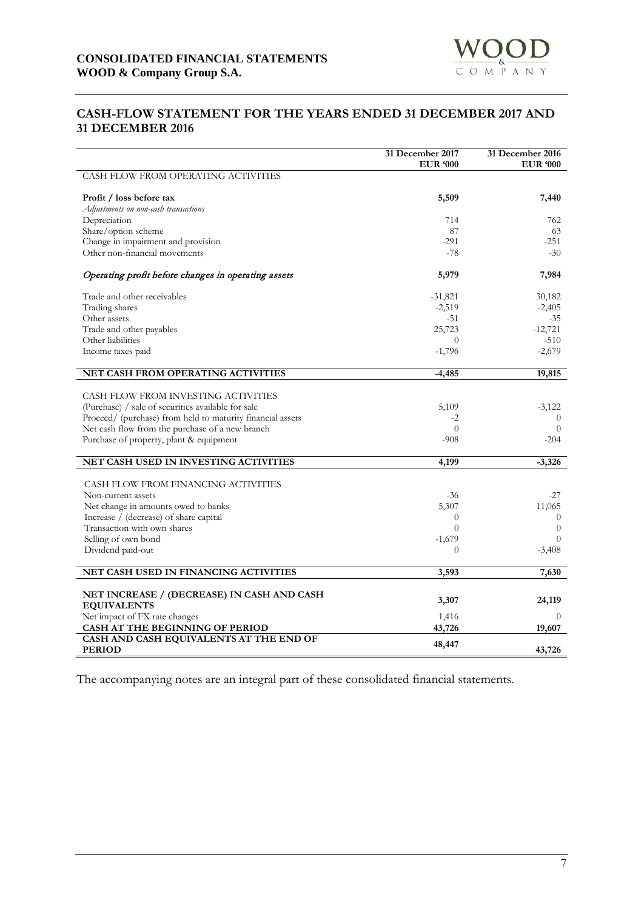

# **CASH-FLOW STATEMENT FOR THE YEARS ENDED 31 DECEMBER 2017 AND 31 DECEMBER 2016**

|                                                            | 31 December 2017 | 31 December 2016 |
|------------------------------------------------------------|------------------|------------------|
|                                                            | <b>EUR '000</b>  | <b>EUR '000</b>  |
| CASH FLOW FROM OPERATING ACTIVITIES                        |                  |                  |
| Profit / loss before tax                                   | 5,509            | 7,440            |
| Adjustments on non-cash transactions                       |                  |                  |
| Depreciation                                               | 714              | 762              |
| Share/option scheme                                        | 87               | 63               |
| Change in impairment and provision                         | $-291$           | $-251$           |
| Other non-financial movements                              | $-78$            | $-30$            |
| Operating profit before changes in operating assets        | 5,979            | 7,984            |
| Trade and other receivables                                | $-31,821$        | 30,182           |
| Trading shares                                             | $-2,519$         | $-2,405$         |
| Other assets                                               | -51              | -35              |
| Trade and other payables                                   | 25,723           | $-12,721$        |
| Other liabilities                                          | $\Omega$         | $-510$           |
| Income taxes paid                                          | $-1,796$         | $-2,679$         |
|                                                            |                  |                  |
| NET CASH FROM OPERATING ACTIVITIES                         | $-4,485$         | 19,815           |
|                                                            |                  |                  |
| CASH FLOW FROM INVESTING ACTIVITIES                        |                  |                  |
| (Purchase) / sale of securities available for sale         | 5,109            | $-3,122$         |
| Proceed/ (purchase) from held to maturity financial assets | $-2$             | $\theta$         |
| Net cash flow from the purchase of a new branch            | $\Omega$         | $\theta$         |
| Purchase of property, plant & equipment                    | $-908$           | $-204$           |
| NET CASH USED IN INVESTING ACTIVITIES                      | 4,199            | $-3,326$         |
|                                                            |                  |                  |
| CASH FLOW FROM FINANCING ACTIVITIES                        |                  |                  |
| Non-current assets                                         | -36              | -27              |
| Net change in amounts owed to banks                        | 5,307            | 11,065           |
| Increase / (decrease) of share capital                     | $\overline{0}$   | $\theta$         |
| Transaction with own shares                                | $\theta$         | $\theta$         |
| Selling of own bond                                        | $-1,679$         | $\Omega$         |
| Dividend paid-out                                          | $\theta$         | $-3,408$         |
| NET CASH USED IN FINANCING ACTIVITIES                      | 3,593            | 7,630            |
|                                                            |                  |                  |
| NET INCREASE / (DECREASE) IN CASH AND CASH                 |                  |                  |
| <b>EQUIVALENTS</b>                                         | 3,307            | 24,119           |
| Net impact of FX rate changes                              | 1,416            | $\left($         |
| CASH AT THE BEGINNING OF PERIOD                            | 43,726           | 19,607           |
| CASH AND CASH EQUIVALENTS AT THE END OF                    |                  |                  |
| <b>PERIOD</b>                                              | 48,447           | 43,726           |

The accompanying notes are an integral part of these consolidated financial statements.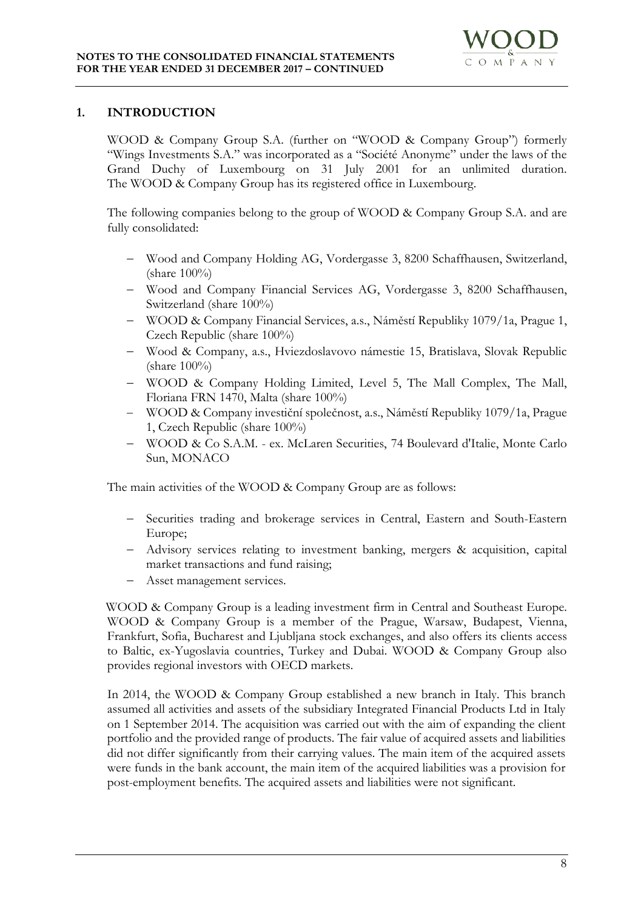# **1. INTRODUCTION**

WOOD & Company Group S.A. (further on "WOOD & Company Group") formerly "Wings Investments S.A." was incorporated as a "Société Anonyme" under the laws of the Grand Duchy of Luxembourg on 31 July 2001 for an unlimited duration. The WOOD & Company Group has its registered office in Luxembourg.

The following companies belong to the group of WOOD & Company Group S.A. and are fully consolidated:

- − Wood and Company Holding AG, Vordergasse 3, 8200 Schaffhausen, Switzerland, (share 100%)
- − Wood and Company Financial Services AG, Vordergasse 3, 8200 Schaffhausen, Switzerland (share 100%)
- − WOOD & Company Financial Services, a.s., Náměstí Republiky 1079/1a, Prague 1, Czech Republic (share 100%)
- − Wood & Company, a.s., Hviezdoslavovo námestie 15, Bratislava, Slovak Republic (share 100%)
- − WOOD & Company Holding Limited, Level 5, The Mall Complex, The Mall, Floriana FRN 1470, Malta (share 100%)
- − WOOD & Company investiční společnost, a.s., Náměstí Republiky 1079/1a, Prague 1, Czech Republic (share 100%)
- − WOOD & Co S.A.M. ex. McLaren Securities, 74 Boulevard d'Italie, Monte Carlo Sun, MONACO

The main activities of the WOOD & Company Group are as follows:

- − Securities trading and brokerage services in Central, Eastern and South-Eastern Europe;
- − Advisory services relating to investment banking, mergers & acquisition, capital market transactions and fund raising;
- Asset management services.

WOOD & Company Group is a leading investment firm in Central and Southeast Europe. WOOD & Company Group is a member of the Prague, Warsaw, Budapest, Vienna, Frankfurt, Sofia, Bucharest and Ljubljana stock exchanges, and also offers its clients access to Baltic, ex-Yugoslavia countries, Turkey and Dubai. WOOD & Company Group also provides regional investors with OECD markets.

In 2014, the WOOD & Company Group established a new branch in Italy. This branch assumed all activities and assets of the subsidiary Integrated Financial Products Ltd in Italy on 1 September 2014. The acquisition was carried out with the aim of expanding the client portfolio and the provided range of products. The fair value of acquired assets and liabilities did not differ significantly from their carrying values. The main item of the acquired assets were funds in the bank account, the main item of the acquired liabilities was a provision for post-employment benefits. The acquired assets and liabilities were not significant.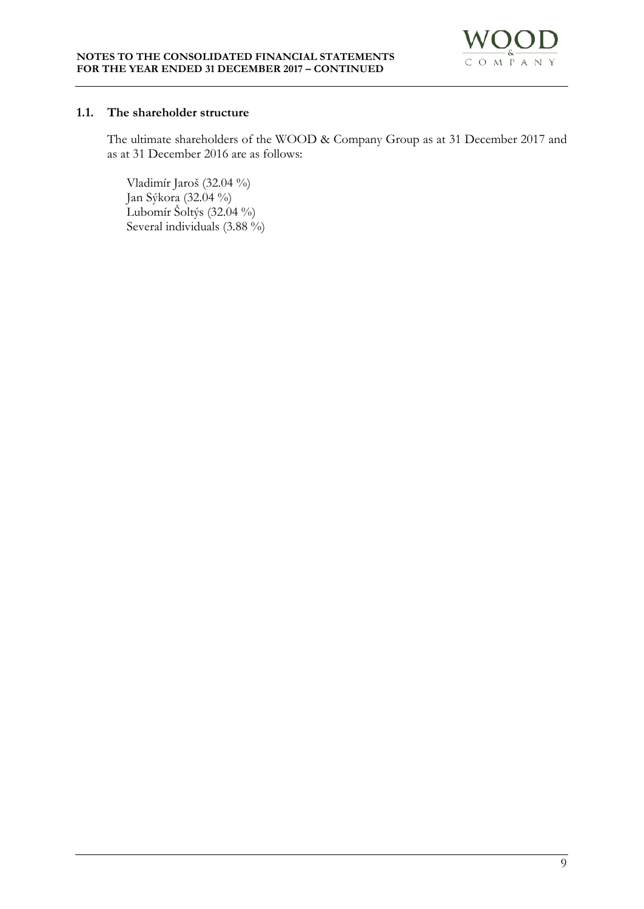

# **1.1. The shareholder structure**

The ultimate shareholders of the WOOD & Company Group as at 31 December 2017 and as at 31 December 2016 are as follows:

Vladimír Jaroš (32.04 %) Jan Sýkora (32.04 %) Lubomír Šoltýs (32.04 %) Several individuals (3.88%)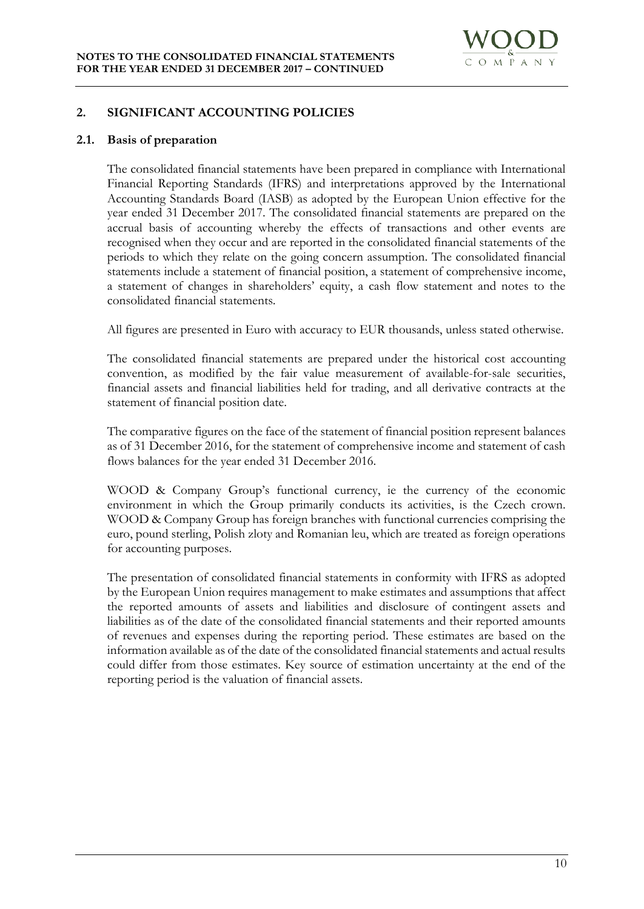

# **2. SIGNIFICANT ACCOUNTING POLICIES**

# **2.1. Basis of preparation**

The consolidated financial statements have been prepared in compliance with International Financial Reporting Standards (IFRS) and interpretations approved by the International Accounting Standards Board (IASB) as adopted by the European Union effective for the year ended 31 December 2017. The consolidated financial statements are prepared on the accrual basis of accounting whereby the effects of transactions and other events are recognised when they occur and are reported in the consolidated financial statements of the periods to which they relate on the going concern assumption. The consolidated financial statements include a statement of financial position, a statement of comprehensive income, a statement of changes in shareholders' equity, a cash flow statement and notes to the consolidated financial statements.

All figures are presented in Euro with accuracy to EUR thousands, unless stated otherwise.

The consolidated financial statements are prepared under the historical cost accounting convention, as modified by the fair value measurement of available-for-sale securities, financial assets and financial liabilities held for trading, and all derivative contracts at the statement of financial position date.

The comparative figures on the face of the statement of financial position represent balances as of 31 December 2016, for the statement of comprehensive income and statement of cash flows balances for the year ended 31 December 2016.

WOOD & Company Group's functional currency, ie the currency of the economic environment in which the Group primarily conducts its activities, is the Czech crown. WOOD & Company Group has foreign branches with functional currencies comprising the euro, pound sterling, Polish zloty and Romanian leu, which are treated as foreign operations for accounting purposes.

The presentation of consolidated financial statements in conformity with IFRS as adopted by the European Union requires management to make estimates and assumptions that affect the reported amounts of assets and liabilities and disclosure of contingent assets and liabilities as of the date of the consolidated financial statements and their reported amounts of revenues and expenses during the reporting period. These estimates are based on the information available as of the date of the consolidated financial statements and actual results could differ from those estimates. Key source of estimation uncertainty at the end of the reporting period is the valuation of financial assets.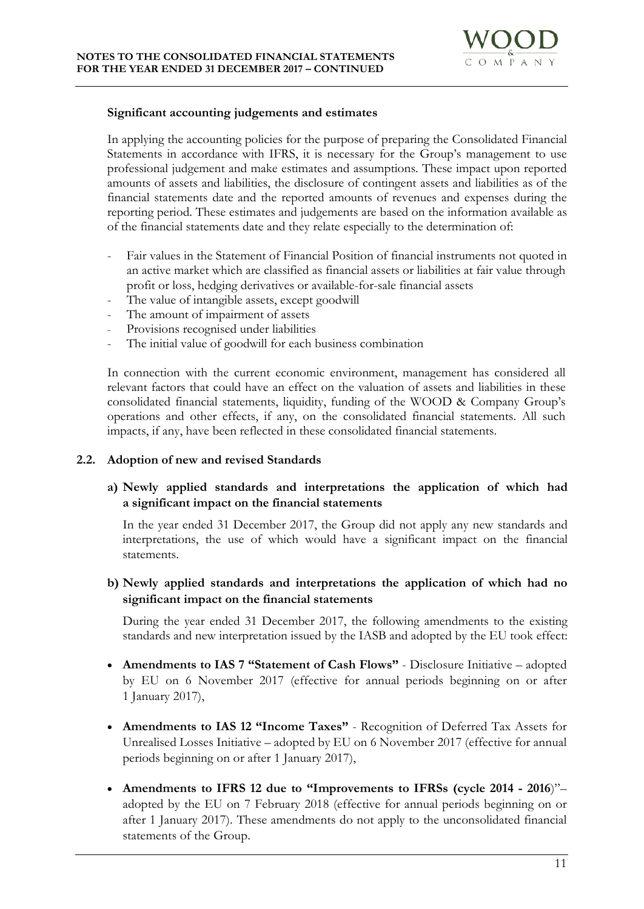

# **Significant accounting judgements and estimates**

In applying the accounting policies for the purpose of preparing the Consolidated Financial Statements in accordance with IFRS, it is necessary for the Group's management to use professional judgement and make estimates and assumptions. These impact upon reported amounts of assets and liabilities, the disclosure of contingent assets and liabilities as of the financial statements date and the reported amounts of revenues and expenses during the reporting period. These estimates and judgements are based on the information available as of the financial statements date and they relate especially to the determination of:

- Fair values in the Statement of Financial Position of financial instruments not quoted in an active market which are classified as financial assets or liabilities at fair value through profit or loss, hedging derivatives or available-for-sale financial assets
- The value of intangible assets, except goodwill
- The amount of impairment of assets
- Provisions recognised under liabilities
- The initial value of goodwill for each business combination

In connection with the current economic environment, management has considered all relevant factors that could have an effect on the valuation of assets and liabilities in these consolidated financial statements, liquidity, funding of the WOOD & Company Group's operations and other effects, if any, on the consolidated financial statements. All such impacts, if any, have been reflected in these consolidated financial statements.

# **2.2. Adoption of new and revised Standards**

# **a) Newly applied standards and interpretations the application of which had a significant impact on the financial statements**

In the year ended 31 December 2017, the Group did not apply any new standards and interpretations, the use of which would have a significant impact on the financial statements.

# **b) Newly applied standards and interpretations the application of which had no significant impact on the financial statements**

During the year ended 31 December 2017, the following amendments to the existing standards and new interpretation issued by the IASB and adopted by the EU took effect:

- **Amendments to IAS 7 "Statement of Cash Flows"** Disclosure Initiative adopted by EU on 6 November 2017 (effective for annual periods beginning on or after 1 January 2017),
- **Amendments to IAS 12 "Income Taxes"** Recognition of Deferred Tax Assets for Unrealised Losses Initiative – adopted by EU on 6 November 2017 (effective for annual periods beginning on or after 1 January 2017),
- **Amendments to IFRS 12 due to "Improvements to IFRSs (cycle 2014 - 2016**)"– adopted by the EU on 7 February 2018 (effective for annual periods beginning on or after 1 January 2017). These amendments do not apply to the unconsolidated financial statements of the Group.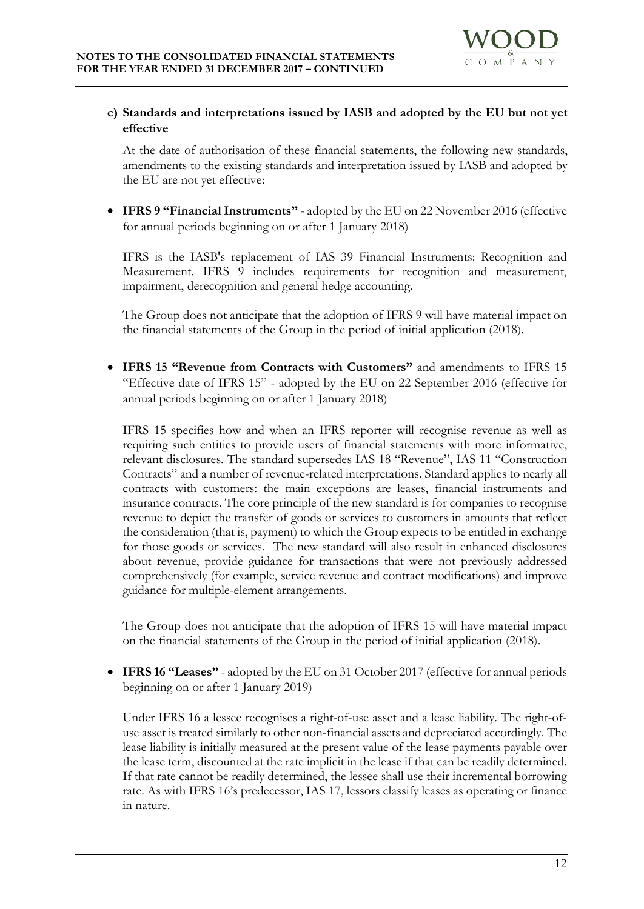

# **c) Standards and interpretations issued by IASB and adopted by the EU but not yet effective**

At the date of authorisation of these financial statements, the following new standards, amendments to the existing standards and interpretation issued by IASB and adopted by the EU are not yet effective:

• **IFRS 9 "Financial Instruments"** - adopted by the EU on 22 November 2016 (effective for annual periods beginning on or after 1 January 2018)

IFRS is the IASB's replacement of IAS 39 Financial Instruments: Recognition and Measurement. IFRS 9 includes requirements for recognition and measurement, impairment, derecognition and general hedge accounting.

The Group does not anticipate that the adoption of IFRS 9 will have material impact on the financial statements of the Group in the period of initial application (2018).

• **IFRS 15 "Revenue from Contracts with Customers"** and amendments to IFRS 15 "Effective date of IFRS 15" - adopted by the EU on 22 September 2016 (effective for annual periods beginning on or after 1 January 2018)

IFRS 15 specifies how and when an IFRS reporter will recognise revenue as well as requiring such entities to provide users of financial statements with more informative, relevant disclosures. The standard supersedes IAS 18 "Revenue", IAS 11 "Construction Contracts" and a number of revenue-related interpretations. Standard applies to nearly all contracts with customers: the main exceptions are leases, financial instruments and insurance contracts. The core principle of the new standard is for companies to recognise revenue to depict the transfer of goods or services to customers in amounts that reflect the consideration (that is, payment) to which the Group expects to be entitled in exchange for those goods or services. The new standard will also result in enhanced disclosures about revenue, provide guidance for transactions that were not previously addressed comprehensively (for example, service revenue and contract modifications) and improve guidance for multiple-element arrangements.

The Group does not anticipate that the adoption of IFRS 15 will have material impact on the financial statements of the Group in the period of initial application (2018).

• **IFRS 16 "Leases"** - adopted by the EU on 31 October 2017 (effective for annual periods beginning on or after 1 January 2019)

Under IFRS 16 a lessee recognises a right-of-use asset and a lease liability. The right-ofuse asset is treated similarly to other non-financial assets and depreciated accordingly. The lease liability is initially measured at the present value of the lease payments payable over the lease term, discounted at the rate implicit in the lease if that can be readily determined. If that rate cannot be readily determined, the lessee shall use their incremental borrowing rate. As with IFRS 16's predecessor, IAS 17, lessors classify leases as operating or finance in nature.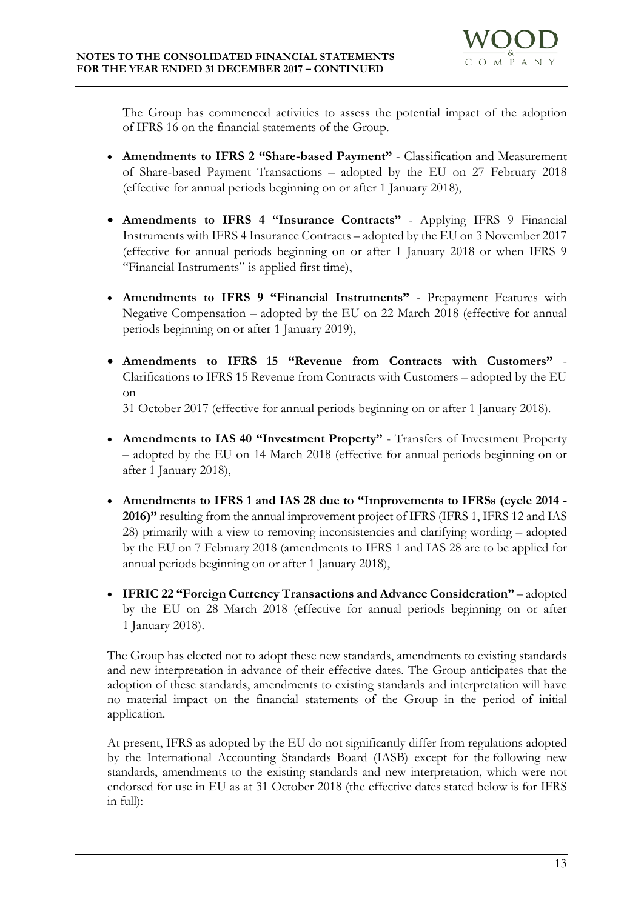

The Group has commenced activities to assess the potential impact of the adoption of IFRS 16 on the financial statements of the Group.

- **Amendments to IFRS 2 "Share-based Payment"** Classification and Measurement of Share-based Payment Transactions – adopted by the EU on 27 February 2018 (effective for annual periods beginning on or after 1 January 2018),
- **Amendments to IFRS 4 "Insurance Contracts"**  Applying IFRS 9 Financial Instruments with IFRS 4 Insurance Contracts – adopted by the EU on 3 November 2017 (effective for annual periods beginning on or after 1 January 2018 or when IFRS 9 "Financial Instruments" is applied first time),
- **Amendments to IFRS 9 "Financial Instruments"**  Prepayment Features with Negative Compensation – adopted by the EU on 22 March 2018 (effective for annual periods beginning on or after 1 January 2019),
- **Amendments to IFRS 15 "Revenue from Contracts with Customers"** Clarifications to IFRS 15 Revenue from Contracts with Customers – adopted by the EU on

31 October 2017 (effective for annual periods beginning on or after 1 January 2018).

- **Amendments to IAS 40 "Investment Property"** Transfers of Investment Property – adopted by the EU on 14 March 2018 (effective for annual periods beginning on or after 1 January 2018),
- **Amendments to IFRS 1 and IAS 28 due to "Improvements to IFRSs (cycle 2014 - 2016)"** resulting from the annual improvement project of IFRS (IFRS 1, IFRS 12 and IAS 28) primarily with a view to removing inconsistencies and clarifying wording – adopted by the EU on 7 February 2018 (amendments to IFRS 1 and IAS 28 are to be applied for annual periods beginning on or after 1 January 2018),
- **IFRIC 22 "Foreign Currency Transactions and Advance Consideration"**  adopted by the EU on 28 March 2018 (effective for annual periods beginning on or after 1 January 2018).

The Group has elected not to adopt these new standards, amendments to existing standards and new interpretation in advance of their effective dates. The Group anticipates that the adoption of these standards, amendments to existing standards and interpretation will have no material impact on the financial statements of the Group in the period of initial application.

At present, IFRS as adopted by the EU do not significantly differ from regulations adopted by the International Accounting Standards Board (IASB) except for the following new standards, amendments to the existing standards and new interpretation, which were not endorsed for use in EU as at 31 October 2018 (the effective dates stated below is for IFRS in full):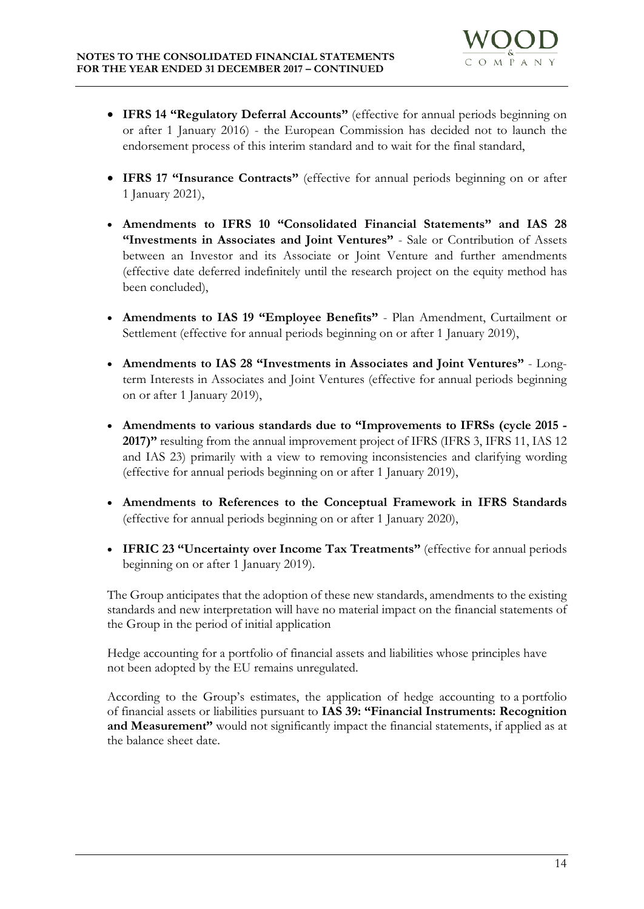

- **IFRS 14 "Regulatory Deferral Accounts"** (effective for annual periods beginning on or after 1 January 2016) - the European Commission has decided not to launch the endorsement process of this interim standard and to wait for the final standard,
- **IFRS 17 "Insurance Contracts"** (effective for annual periods beginning on or after 1 January 2021),
- **Amendments to IFRS 10 "Consolidated Financial Statements" and IAS 28 "Investments in Associates and Joint Ventures"** - Sale or Contribution of Assets between an Investor and its Associate or Joint Venture and further amendments (effective date deferred indefinitely until the research project on the equity method has been concluded),
- **Amendments to IAS 19 "Employee Benefits"** Plan Amendment, Curtailment or Settlement (effective for annual periods beginning on or after 1 January 2019),
- **Amendments to IAS 28 "Investments in Associates and Joint Ventures"**  Longterm Interests in Associates and Joint Ventures (effective for annual periods beginning on or after 1 January 2019),
- **Amendments to various standards due to "Improvements to IFRSs (cycle 2015 - 2017)"** resulting from the annual improvement project of IFRS (IFRS 3, IFRS 11, IAS 12 and IAS 23) primarily with a view to removing inconsistencies and clarifying wording (effective for annual periods beginning on or after 1 January 2019),
- **Amendments to References to the Conceptual Framework in IFRS Standards**  (effective for annual periods beginning on or after 1 January 2020),
- **IFRIC 23 "Uncertainty over Income Tax Treatments"** (effective for annual periods beginning on or after 1 January 2019).

The Group anticipates that the adoption of these new standards, amendments to the existing standards and new interpretation will have no material impact on the financial statements of the Group in the period of initial application

Hedge accounting for a portfolio of financial assets and liabilities whose principles have not been adopted by the EU remains unregulated.

According to the Group's estimates, the application of hedge accounting to a portfolio of financial assets or liabilities pursuant to **IAS 39: "Financial Instruments: Recognition and Measurement"** would not significantly impact the financial statements, if applied as at the balance sheet date.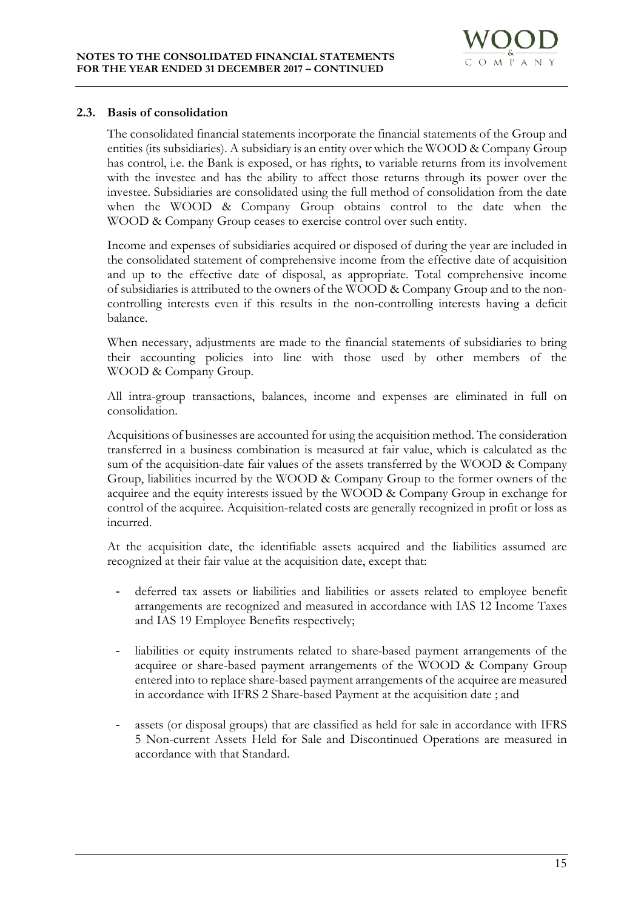# **2.3. Basis of consolidation**

The consolidated financial statements incorporate the financial statements of the Group and entities (its subsidiaries). A subsidiary is an entity over which the WOOD & Company Group has control, i.e. the Bank is exposed, or has rights, to variable returns from its involvement with the investee and has the ability to affect those returns through its power over the investee. Subsidiaries are consolidated using the full method of consolidation from the date when the WOOD & Company Group obtains control to the date when the WOOD & Company Group ceases to exercise control over such entity.

Income and expenses of subsidiaries acquired or disposed of during the year are included in the consolidated statement of comprehensive income from the effective date of acquisition and up to the effective date of disposal, as appropriate. Total comprehensive income of subsidiaries is attributed to the owners of the WOOD & Company Group and to the noncontrolling interests even if this results in the non-controlling interests having a deficit balance.

When necessary, adjustments are made to the financial statements of subsidiaries to bring their accounting policies into line with those used by other members of the WOOD & Company Group.

All intra-group transactions, balances, income and expenses are eliminated in full on consolidation.

Acquisitions of businesses are accounted for using the acquisition method. The consideration transferred in a business combination is measured at fair value, which is calculated as the sum of the acquisition-date fair values of the assets transferred by the WOOD & Company Group, liabilities incurred by the WOOD & Company Group to the former owners of the acquiree and the equity interests issued by the WOOD & Company Group in exchange for control of the acquiree. Acquisition-related costs are generally recognized in profit or loss as incurred.

At the acquisition date, the identifiable assets acquired and the liabilities assumed are recognized at their fair value at the acquisition date, except that:

- deferred tax assets or liabilities and liabilities or assets related to employee benefit arrangements are recognized and measured in accordance with IAS 12 Income Taxes and IAS 19 Employee Benefits respectively;
- liabilities or equity instruments related to share-based payment arrangements of the acquiree or share-based payment arrangements of the WOOD & Company Group entered into to replace share-based payment arrangements of the acquiree are measured in accordance with IFRS 2 Share-based Payment at the acquisition date ; and
- assets (or disposal groups) that are classified as held for sale in accordance with IFRS 5 Non-current Assets Held for Sale and Discontinued Operations are measured in accordance with that Standard.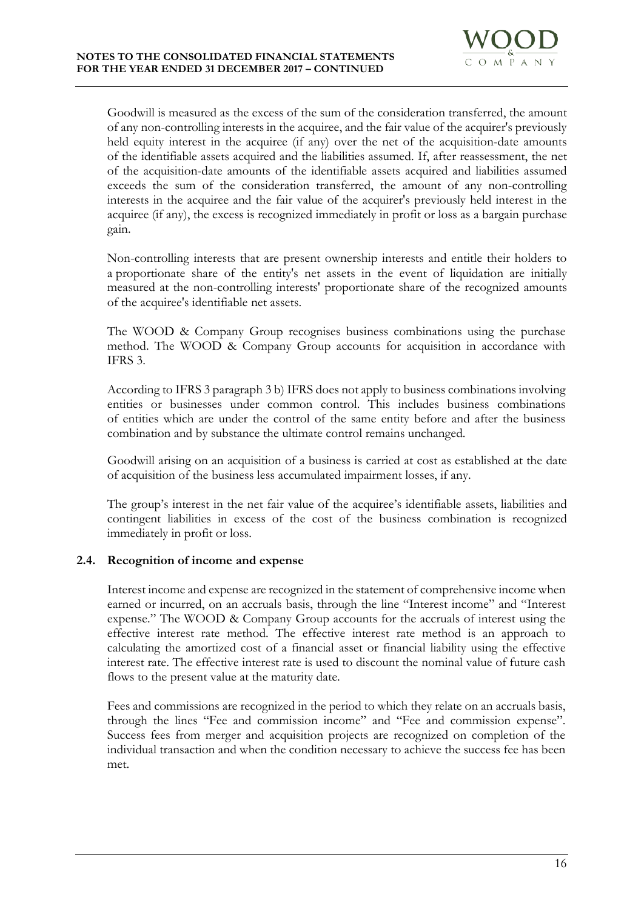

Goodwill is measured as the excess of the sum of the consideration transferred, the amount of any non-controlling interests in the acquiree, and the fair value of the acquirer's previously held equity interest in the acquiree (if any) over the net of the acquisition-date amounts of the identifiable assets acquired and the liabilities assumed. If, after reassessment, the net of the acquisition-date amounts of the identifiable assets acquired and liabilities assumed exceeds the sum of the consideration transferred, the amount of any non-controlling interests in the acquiree and the fair value of the acquirer's previously held interest in the acquiree (if any), the excess is recognized immediately in profit or loss as a bargain purchase gain.

Non-controlling interests that are present ownership interests and entitle their holders to a proportionate share of the entity's net assets in the event of liquidation are initially measured at the non-controlling interests' proportionate share of the recognized amounts of the acquiree's identifiable net assets.

The WOOD & Company Group recognises business combinations using the purchase method. The WOOD & Company Group accounts for acquisition in accordance with IFRS 3.

According to IFRS 3 paragraph 3 b) IFRS does not apply to business combinations involving entities or businesses under common control. This includes business combinations of entities which are under the control of the same entity before and after the business combination and by substance the ultimate control remains unchanged.

Goodwill arising on an acquisition of a business is carried at cost as established at the date of acquisition of the business less accumulated impairment losses, if any.

The group's interest in the net fair value of the acquiree's identifiable assets, liabilities and contingent liabilities in excess of the cost of the business combination is recognized immediately in profit or loss.

# **2.4. Recognition of income and expense**

Interest income and expense are recognized in the statement of comprehensive income when earned or incurred, on an accruals basis, through the line "Interest income" and "Interest expense." The WOOD & Company Group accounts for the accruals of interest using the effective interest rate method. The effective interest rate method is an approach to calculating the amortized cost of a financial asset or financial liability using the effective interest rate. The effective interest rate is used to discount the nominal value of future cash flows to the present value at the maturity date.

Fees and commissions are recognized in the period to which they relate on an accruals basis, through the lines "Fee and commission income" and "Fee and commission expense". Success fees from merger and acquisition projects are recognized on completion of the individual transaction and when the condition necessary to achieve the success fee has been met.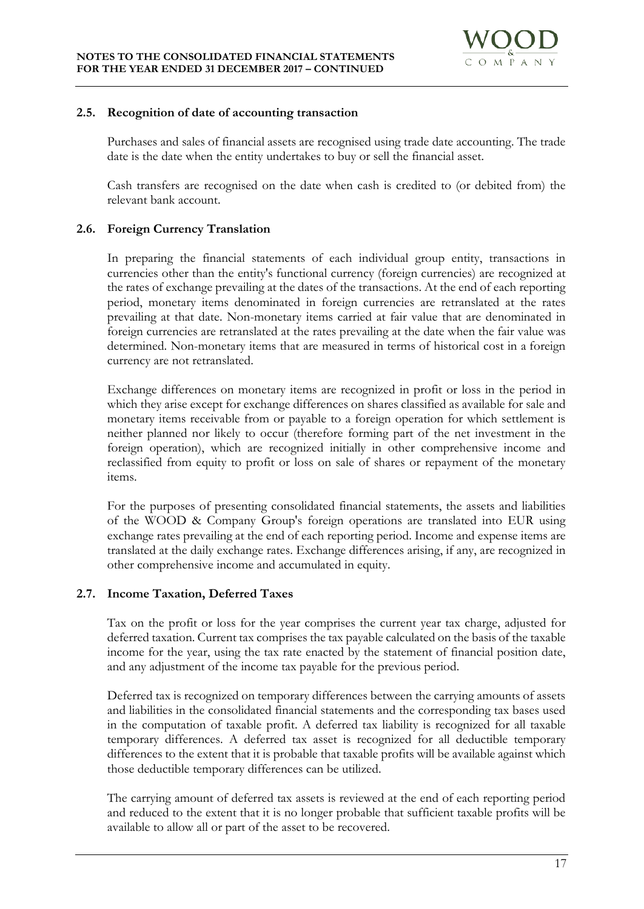

# **2.5. Recognition of date of accounting transaction**

Purchases and sales of financial assets are recognised using trade date accounting. The trade date is the date when the entity undertakes to buy or sell the financial asset.

Cash transfers are recognised on the date when cash is credited to (or debited from) the relevant bank account.

# **2.6. Foreign Currency Translation**

In preparing the financial statements of each individual group entity, transactions in currencies other than the entity's functional currency (foreign currencies) are recognized at the rates of exchange prevailing at the dates of the transactions. At the end of each reporting period, monetary items denominated in foreign currencies are retranslated at the rates prevailing at that date. Non-monetary items carried at fair value that are denominated in foreign currencies are retranslated at the rates prevailing at the date when the fair value was determined. Non-monetary items that are measured in terms of historical cost in a foreign currency are not retranslated.

Exchange differences on monetary items are recognized in profit or loss in the period in which they arise except for exchange differences on shares classified as available for sale and monetary items receivable from or payable to a foreign operation for which settlement is neither planned nor likely to occur (therefore forming part of the net investment in the foreign operation), which are recognized initially in other comprehensive income and reclassified from equity to profit or loss on sale of shares or repayment of the monetary items.

For the purposes of presenting consolidated financial statements, the assets and liabilities of the WOOD & Company Group's foreign operations are translated into EUR using exchange rates prevailing at the end of each reporting period. Income and expense items are translated at the daily exchange rates. Exchange differences arising, if any, are recognized in other comprehensive income and accumulated in equity.

# **2.7. Income Taxation, Deferred Taxes**

Tax on the profit or loss for the year comprises the current year tax charge, adjusted for deferred taxation. Current tax comprises the tax payable calculated on the basis of the taxable income for the year, using the tax rate enacted by the statement of financial position date, and any adjustment of the income tax payable for the previous period.

Deferred tax is recognized on temporary differences between the carrying amounts of assets and liabilities in the consolidated financial statements and the corresponding tax bases used in the computation of taxable profit. A deferred tax liability is recognized for all taxable temporary differences. A deferred tax asset is recognized for all deductible temporary differences to the extent that it is probable that taxable profits will be available against which those deductible temporary differences can be utilized.

The carrying amount of deferred tax assets is reviewed at the end of each reporting period and reduced to the extent that it is no longer probable that sufficient taxable profits will be available to allow all or part of the asset to be recovered.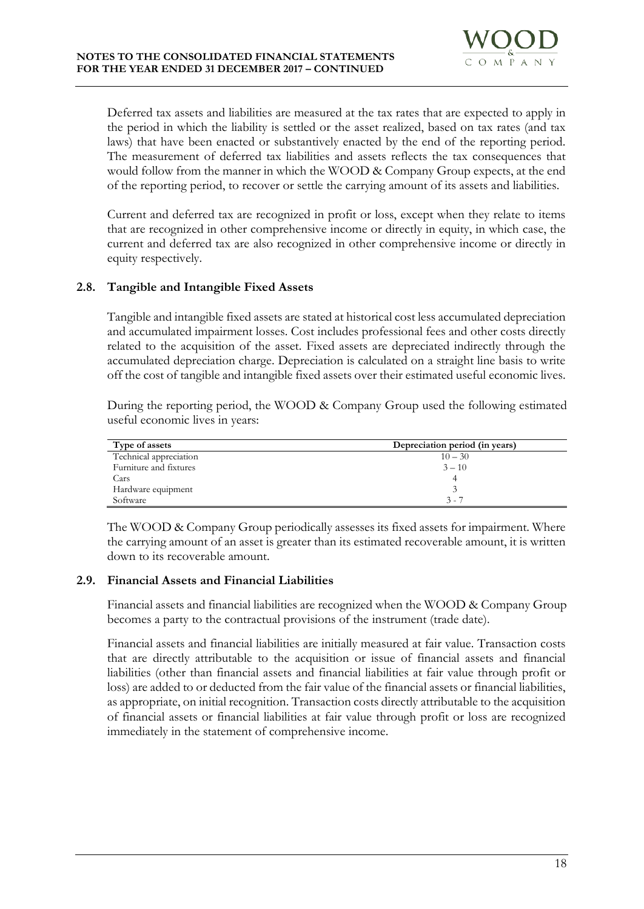

Deferred tax assets and liabilities are measured at the tax rates that are expected to apply in the period in which the liability is settled or the asset realized, based on tax rates (and tax laws) that have been enacted or substantively enacted by the end of the reporting period. The measurement of deferred tax liabilities and assets reflects the tax consequences that would follow from the manner in which the WOOD & Company Group expects, at the end of the reporting period, to recover or settle the carrying amount of its assets and liabilities.

Current and deferred tax are recognized in profit or loss, except when they relate to items that are recognized in other comprehensive income or directly in equity, in which case, the current and deferred tax are also recognized in other comprehensive income or directly in equity respectively.

# **2.8. Tangible and Intangible Fixed Assets**

Tangible and intangible fixed assets are stated at historical cost less accumulated depreciation and accumulated impairment losses. Cost includes professional fees and other costs directly related to the acquisition of the asset. Fixed assets are depreciated indirectly through the accumulated depreciation charge. Depreciation is calculated on a straight line basis to write off the cost of tangible and intangible fixed assets over their estimated useful economic lives.

During the reporting period, the WOOD & Company Group used the following estimated useful economic lives in years:

| Type of assets         | Depreciation period (in years) |
|------------------------|--------------------------------|
| Technical appreciation | $10 - 30$                      |
| Furniture and fixtures | $3 - 10$                       |
| Cars                   |                                |
| Hardware equipment     |                                |
| Software               | $3 - 7$                        |

The WOOD & Company Group periodically assesses its fixed assets for impairment. Where the carrying amount of an asset is greater than its estimated recoverable amount, it is written down to its recoverable amount.

# **2.9. Financial Assets and Financial Liabilities**

Financial assets and financial liabilities are recognized when the WOOD & Company Group becomes a party to the contractual provisions of the instrument (trade date).

Financial assets and financial liabilities are initially measured at fair value. Transaction costs that are directly attributable to the acquisition or issue of financial assets and financial liabilities (other than financial assets and financial liabilities at fair value through profit or loss) are added to or deducted from the fair value of the financial assets or financial liabilities, as appropriate, on initial recognition. Transaction costs directly attributable to the acquisition of financial assets or financial liabilities at fair value through profit or loss are recognized immediately in the statement of comprehensive income.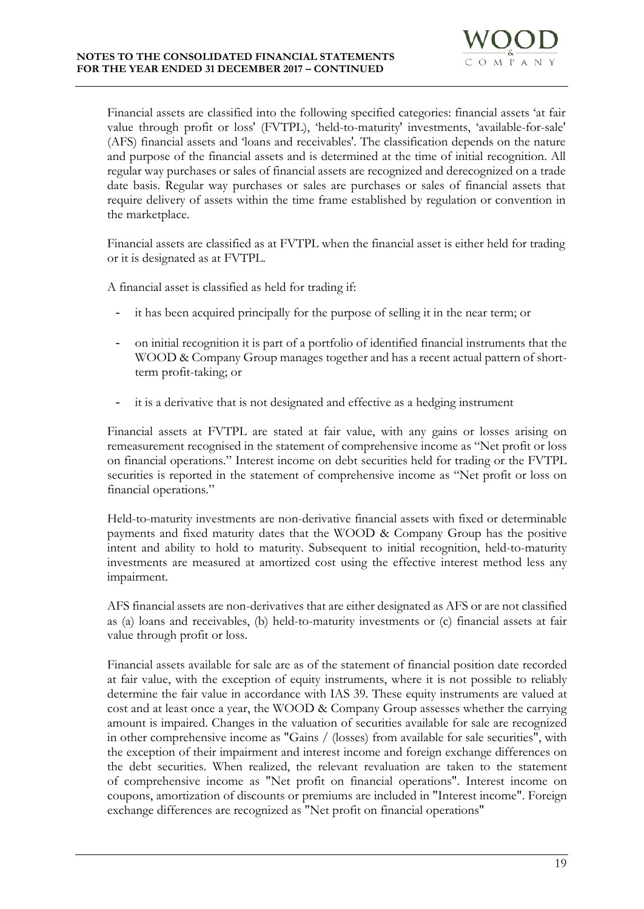

Financial assets are classified into the following specified categories: financial assets 'at fair value through profit or loss' (FVTPL), 'held-to-maturity' investments, 'available-for-sale' (AFS) financial assets and 'loans and receivables'. The classification depends on the nature and purpose of the financial assets and is determined at the time of initial recognition. All regular way purchases or sales of financial assets are recognized and derecognized on a trade date basis. Regular way purchases or sales are purchases or sales of financial assets that require delivery of assets within the time frame established by regulation or convention in the marketplace.

Financial assets are classified as at FVTPL when the financial asset is either held for trading or it is designated as at FVTPL.

A financial asset is classified as held for trading if:

- it has been acquired principally for the purpose of selling it in the near term; or
- on initial recognition it is part of a portfolio of identified financial instruments that the WOOD & Company Group manages together and has a recent actual pattern of shortterm profit-taking; or
- it is a derivative that is not designated and effective as a hedging instrument

Financial assets at FVTPL are stated at fair value, with any gains or losses arising on remeasurement recognised in the statement of comprehensive income as "Net profit or loss on financial operations." Interest income on debt securities held for trading or the FVTPL securities is reported in the statement of comprehensive income as "Net profit or loss on financial operations."

Held-to-maturity investments are non-derivative financial assets with fixed or determinable payments and fixed maturity dates that the WOOD & Company Group has the positive intent and ability to hold to maturity. Subsequent to initial recognition, held-to-maturity investments are measured at amortized cost using the effective interest method less any impairment.

AFS financial assets are non-derivatives that are either designated as AFS or are not classified as (a) loans and receivables, (b) held-to-maturity investments or (c) financial assets at fair value through profit or loss.

Financial assets available for sale are as of the statement of financial position date recorded at fair value, with the exception of equity instruments, where it is not possible to reliably determine the fair value in accordance with IAS 39. These equity instruments are valued at cost and at least once a year, the WOOD & Company Group assesses whether the carrying amount is impaired. Changes in the valuation of securities available for sale are recognized in other comprehensive income as "Gains / (losses) from available for sale securities", with the exception of their impairment and interest income and foreign exchange differences on the debt securities. When realized, the relevant revaluation are taken to the statement of comprehensive income as "Net profit on financial operations". Interest income on coupons, amortization of discounts or premiums are included in "Interest income". Foreign exchange differences are recognized as "Net profit on financial operations"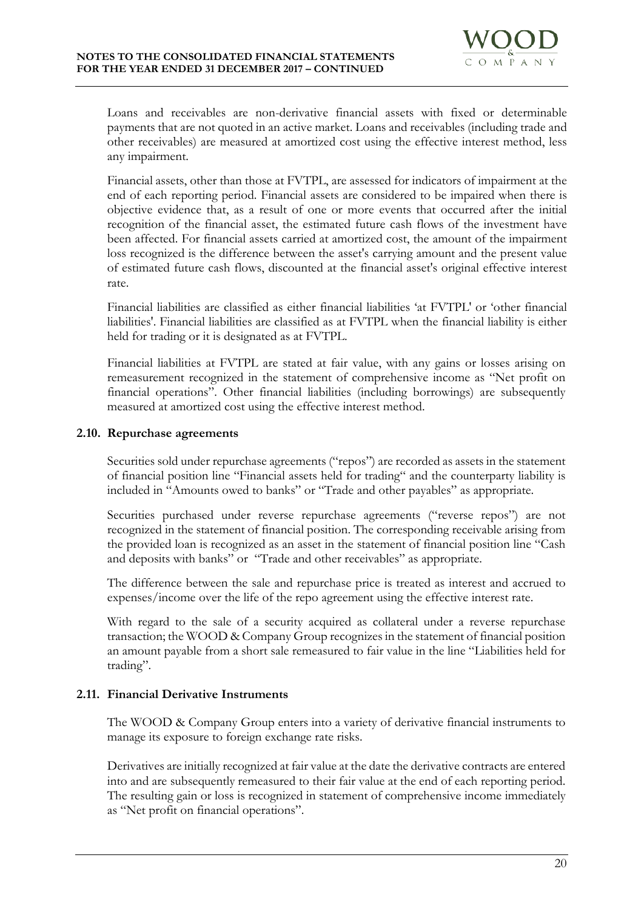

Loans and receivables are non-derivative financial assets with fixed or determinable payments that are not quoted in an active market. Loans and receivables (including trade and other receivables) are measured at amortized cost using the effective interest method, less any impairment.

Financial assets, other than those at FVTPL, are assessed for indicators of impairment at the end of each reporting period. Financial assets are considered to be impaired when there is objective evidence that, as a result of one or more events that occurred after the initial recognition of the financial asset, the estimated future cash flows of the investment have been affected. For financial assets carried at amortized cost, the amount of the impairment loss recognized is the difference between the asset's carrying amount and the present value of estimated future cash flows, discounted at the financial asset's original effective interest rate.

Financial liabilities are classified as either financial liabilities 'at FVTPL' or 'other financial liabilities'. Financial liabilities are classified as at FVTPL when the financial liability is either held for trading or it is designated as at FVTPL.

Financial liabilities at FVTPL are stated at fair value, with any gains or losses arising on remeasurement recognized in the statement of comprehensive income as "Net profit on financial operations". Other financial liabilities (including borrowings) are subsequently measured at amortized cost using the effective interest method.

# **2.10. Repurchase agreements**

Securities sold under repurchase agreements ("repos") are recorded as assets in the statement of financial position line "Financial assets held for trading" and the counterparty liability is included in "Amounts owed to banks" or "Trade and other payables" as appropriate.

Securities purchased under reverse repurchase agreements ("reverse repos") are not recognized in the statement of financial position. The corresponding receivable arising from the provided loan is recognized as an asset in the statement of financial position line "Cash and deposits with banks" or "Trade and other receivables" as appropriate.

The difference between the sale and repurchase price is treated as interest and accrued to expenses/income over the life of the repo agreement using the effective interest rate.

With regard to the sale of a security acquired as collateral under a reverse repurchase transaction; the WOOD & Company Group recognizes in the statement of financial position an amount payable from a short sale remeasured to fair value in the line "Liabilities held for trading".

# **2.11. Financial Derivative Instruments**

The WOOD & Company Group enters into a variety of derivative financial instruments to manage its exposure to foreign exchange rate risks.

Derivatives are initially recognized at fair value at the date the derivative contracts are entered into and are subsequently remeasured to their fair value at the end of each reporting period. The resulting gain or loss is recognized in statement of comprehensive income immediately as "Net profit on financial operations".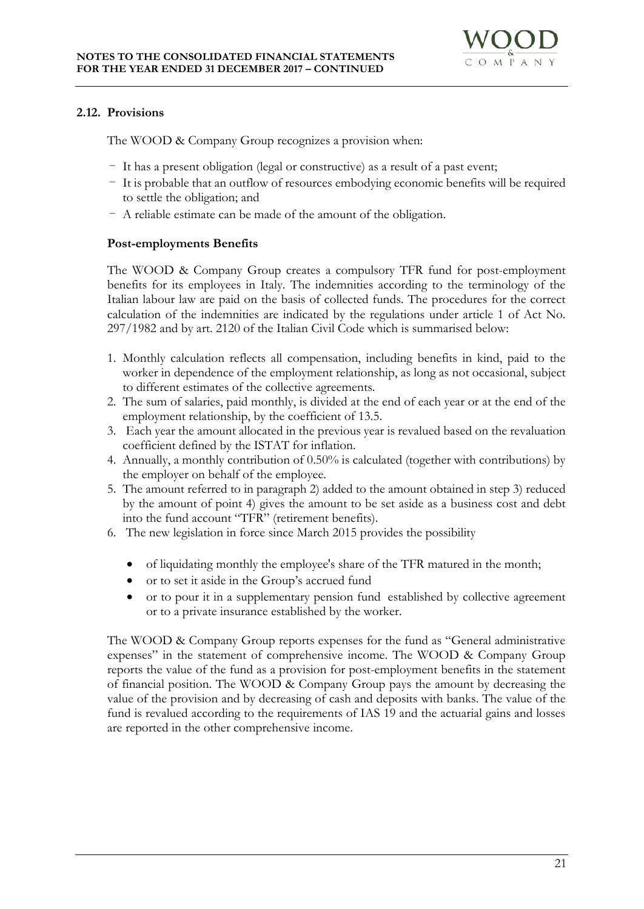

# **2.12. Provisions**

The WOOD & Company Group recognizes a provision when:

- It has a present obligation (legal or constructive) as a result of a past event;
- It is probable that an outflow of resources embodying economic benefits will be required to settle the obligation; and
- A reliable estimate can be made of the amount of the obligation.

# **Post-employments Benefits**

The WOOD & Company Group creates a compulsory TFR fund for post-employment benefits for its employees in Italy. The indemnities according to the terminology of the Italian labour law are paid on the basis of collected funds. The procedures for the correct calculation of the indemnities are indicated by the regulations under article 1 of Act No. 297/1982 and by art. 2120 of the Italian Civil Code which is summarised below:

- 1. Monthly calculation reflects all compensation, including benefits in kind, paid to the worker in dependence of the employment relationship, as long as not occasional, subject to different estimates of the collective agreements.
- 2. The sum of salaries, paid monthly, is divided at the end of each year or at the end of the employment relationship, by the coefficient of 13.5.
- 3. Each year the amount allocated in the previous year is revalued based on the revaluation coefficient defined by the ISTAT for inflation.
- 4. Annually, a monthly contribution of 0.50% is calculated (together with contributions) by the employer on behalf of the employee.
- 5. The amount referred to in paragraph 2) added to the amount obtained in step 3) reduced by the amount of point 4) gives the amount to be set aside as a business cost and debt into the fund account "TFR" (retirement benefits).
- 6. The new legislation in force since March 2015 provides the possibility
	- of liquidating monthly the employee's share of the TFR matured in the month;
	- or to set it aside in the Group's accrued fund
	- or to pour it in a supplementary pension fund established by collective agreement or to a private insurance established by the worker.

The WOOD & Company Group reports expenses for the fund as "General administrative expenses" in the statement of comprehensive income. The WOOD & Company Group reports the value of the fund as a provision for post-employment benefits in the statement of financial position. The WOOD & Company Group pays the amount by decreasing the value of the provision and by decreasing of cash and deposits with banks. The value of the fund is revalued according to the requirements of IAS 19 and the actuarial gains and losses are reported in the other comprehensive income.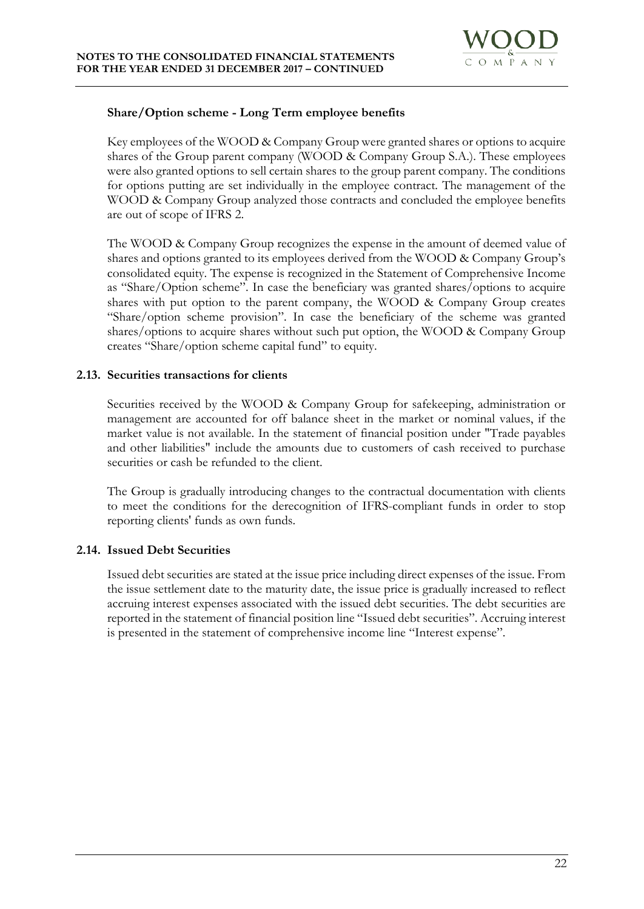

# **Share/Option scheme - Long Term employee benefits**

Key employees of the WOOD & Company Group were granted shares or options to acquire shares of the Group parent company (WOOD & Company Group S.A.). These employees were also granted options to sell certain shares to the group parent company. The conditions for options putting are set individually in the employee contract. The management of the WOOD & Company Group analyzed those contracts and concluded the employee benefits are out of scope of IFRS 2.

The WOOD & Company Group recognizes the expense in the amount of deemed value of shares and options granted to its employees derived from the WOOD & Company Group's consolidated equity. The expense is recognized in the Statement of Comprehensive Income as "Share/Option scheme". In case the beneficiary was granted shares/options to acquire shares with put option to the parent company, the WOOD & Company Group creates "Share/option scheme provision". In case the beneficiary of the scheme was granted shares/options to acquire shares without such put option, the WOOD & Company Group creates "Share/option scheme capital fund" to equity.

# **2.13. Securities transactions for clients**

Securities received by the WOOD & Company Group for safekeeping, administration or management are accounted for off balance sheet in the market or nominal values, if the market value is not available. In the statement of financial position under "Trade payables and other liabilities" include the amounts due to customers of cash received to purchase securities or cash be refunded to the client.

The Group is gradually introducing changes to the contractual documentation with clients to meet the conditions for the derecognition of IFRS-compliant funds in order to stop reporting clients' funds as own funds.

# **2.14. Issued Debt Securities**

Issued debt securities are stated at the issue price including direct expenses of the issue. From the issue settlement date to the maturity date, the issue price is gradually increased to reflect accruing interest expenses associated with the issued debt securities. The debt securities are reported in the statement of financial position line "Issued debt securities". Accruing interest is presented in the statement of comprehensive income line "Interest expense".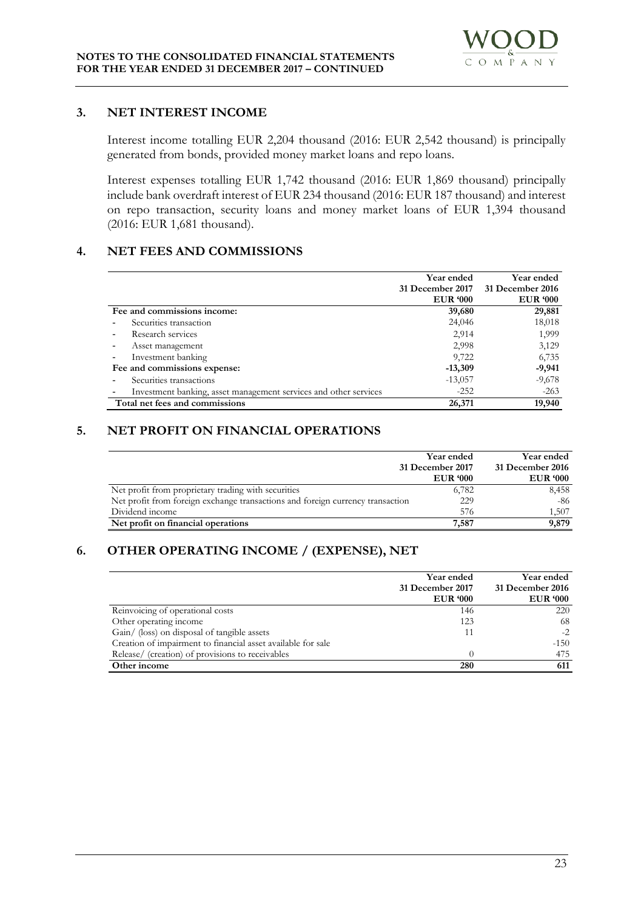

# **3. NET INTEREST INCOME**

Interest income totalling EUR 2,204 thousand (2016: EUR 2,542 thousand) is principally generated from bonds, provided money market loans and repo loans.

Interest expenses totalling EUR 1,742 thousand (2016: EUR 1,869 thousand) principally include bank overdraft interest of EUR 234 thousand (2016: EUR 187 thousand) and interest on repo transaction, security loans and money market loans of EUR 1,394 thousand (2016: EUR 1,681 thousand).

# **4. NET FEES AND COMMISSIONS**

|                                                                  | Year ended                          | Year ended                          |
|------------------------------------------------------------------|-------------------------------------|-------------------------------------|
|                                                                  | 31 December 2017<br><b>EUR</b> '000 | 31 December 2016<br><b>EUR</b> '000 |
| Fee and commissions income:                                      | 39,680                              | 29,881                              |
| Securities transaction                                           | 24,046                              | 18,018                              |
| Research services                                                | 2,914                               | 1,999                               |
| Asset management                                                 | 2,998                               | 3,129                               |
| Investment banking                                               | 9,722                               | 6,735                               |
| Fee and commissions expense:                                     | $-13,309$                           | $-9,941$                            |
| Securities transactions                                          | $-13,057$                           | $-9,678$                            |
| Investment banking, asset management services and other services | $-252$                              | $-263$                              |
| Total net fees and commissions                                   | 26,371                              | 19,940                              |

# **5. NET PROFIT ON FINANCIAL OPERATIONS**

|                                                                                | Year ended       | Year ended       |
|--------------------------------------------------------------------------------|------------------|------------------|
|                                                                                | 31 December 2017 | 31 December 2016 |
|                                                                                | <b>EUR '000</b>  | <b>EUR '000</b>  |
| Net profit from proprietary trading with securities                            | 6,782            | 8,458            |
| Net profit from foreign exchange transactions and foreign currency transaction | 229              | -86              |
| Dividend income                                                                | 576              | 1,507            |
| Net profit on financial operations                                             | 7,587            | 9,879            |

# **6. OTHER OPERATING INCOME / (EXPENSE), NET**

|                                                              | Year ended<br>31 December 2017<br><b>EUR</b> '000 | Year ended<br>31 December 2016<br><b>EUR</b> '000 |
|--------------------------------------------------------------|---------------------------------------------------|---------------------------------------------------|
| Reinvoicing of operational costs                             | 146                                               | 220                                               |
| Other operating income                                       | 123                                               | 68                                                |
| Gain/ (loss) on disposal of tangible assets                  | 11                                                | $-2$                                              |
| Creation of impairment to financial asset available for sale |                                                   | $-150$                                            |
| Release/ (creation) of provisions to receivables             | $\theta$                                          | 475                                               |
| Other income                                                 | 280                                               | 611                                               |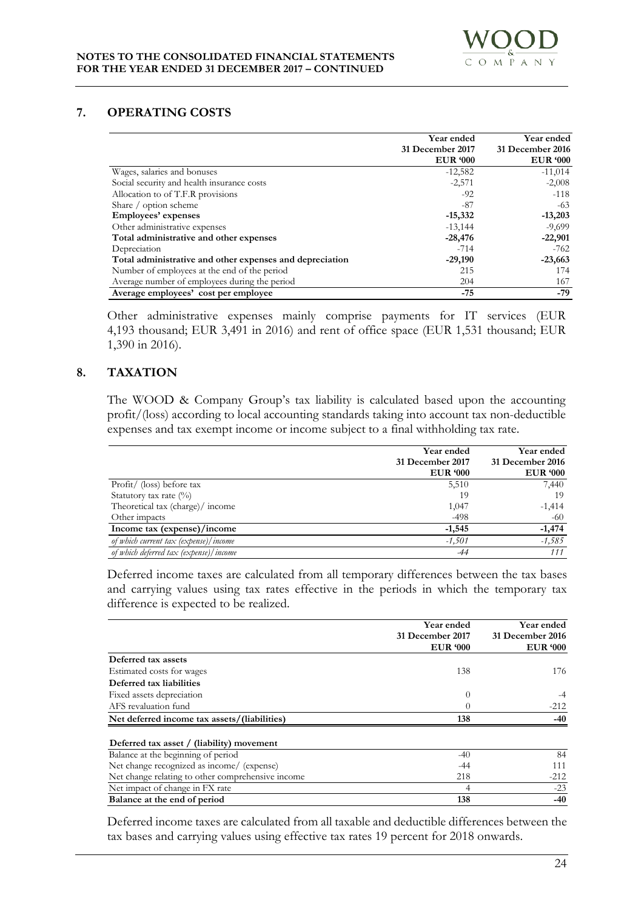# **7. OPERATING COSTS**

|                                                          | Year ended       | Year ended       |
|----------------------------------------------------------|------------------|------------------|
|                                                          | 31 December 2017 | 31 December 2016 |
|                                                          | <b>EUR '000</b>  | <b>EUR '000</b>  |
| Wages, salaries and bonuses                              | $-12,582$        | $-11,014$        |
| Social security and health insurance costs               | $-2,571$         | $-2,008$         |
| Allocation to of T.F.R provisions                        | $-92$            | $-118$           |
| Share / option scheme                                    | -87              | $-63$            |
| Employees' expenses                                      | $-15,332$        | $-13,203$        |
| Other administrative expenses                            | $-13,144$        | $-9,699$         |
| Total administrative and other expenses                  | $-28,476$        | $-22,901$        |
| Depreciation                                             | $-714$           | $-762$           |
| Total administrative and other expenses and depreciation | $-29,190$        | $-23,663$        |
| Number of employees at the end of the period             | 215              | 174              |
| Average number of employees during the period            | 204              | 167              |
| Average employees' cost per employee                     | -75              | $-79$            |

Other administrative expenses mainly comprise payments for IT services (EUR 4,193 thousand; EUR 3,491 in 2016) and rent of office space (EUR 1,531 thousand; EUR 1,390 in 2016).

# **8. TAXATION**

The WOOD & Company Group's tax liability is calculated based upon the accounting profit/(loss) according to local accounting standards taking into account tax non-deductible expenses and tax exempt income or income subject to a final withholding tax rate.

|                                        | Year ended       | Year ended       |
|----------------------------------------|------------------|------------------|
|                                        | 31 December 2017 | 31 December 2016 |
|                                        | <b>EUR</b> '000  | <b>EUR '000</b>  |
| Profit/ (loss) before tax              | 5,510            | 7,440            |
| Statutory tax rate $(\% )$             | 19               | 19               |
| Theoretical tax (charge)/ income       | 1,047            | $-1,414$         |
| Other impacts                          | -498             | $-60$            |
| Income tax (expense)/income            | $-1,545$         | $-1,474$         |
| of which current tax (expense) income  | $-1,501$         | $-1,585$         |
| of which deferred tax (expense)/income | $-44$            | 111              |

Deferred income taxes are calculated from all temporary differences between the tax bases and carrying values using tax rates effective in the periods in which the temporary tax difference is expected to be realized.

|                                                   | Year ended<br>31 December 2017<br><b>EUR</b> '000 | Year ended<br>31 December 2016<br><b>EUR '000</b> |
|---------------------------------------------------|---------------------------------------------------|---------------------------------------------------|
| Deferred tax assets                               |                                                   |                                                   |
| Estimated costs for wages                         | 138                                               | 176                                               |
| Deferred tax liabilities                          |                                                   |                                                   |
| Fixed assets depreciation                         | $\theta$                                          | -4                                                |
| AFS revaluation fund                              | $\theta$                                          | $-212$                                            |
| Net deferred income tax assets/(liabilities)      | 138                                               | $-40$                                             |
| Deferred tax asset / (liability) movement         |                                                   |                                                   |
| Balance at the beginning of period                | $-40$                                             | 84                                                |
| Net change recognized as income/ (expense)        | $-44$                                             | 111                                               |
| Net change relating to other comprehensive income | 218                                               | $-212$                                            |
| Net impact of change in FX rate                   | 4                                                 | $-23$                                             |
| Balance at the end of period                      | 138                                               | $-40$                                             |

Deferred income taxes are calculated from all taxable and deductible differences between the tax bases and carrying values using effective tax rates 19 percent for 2018 onwards.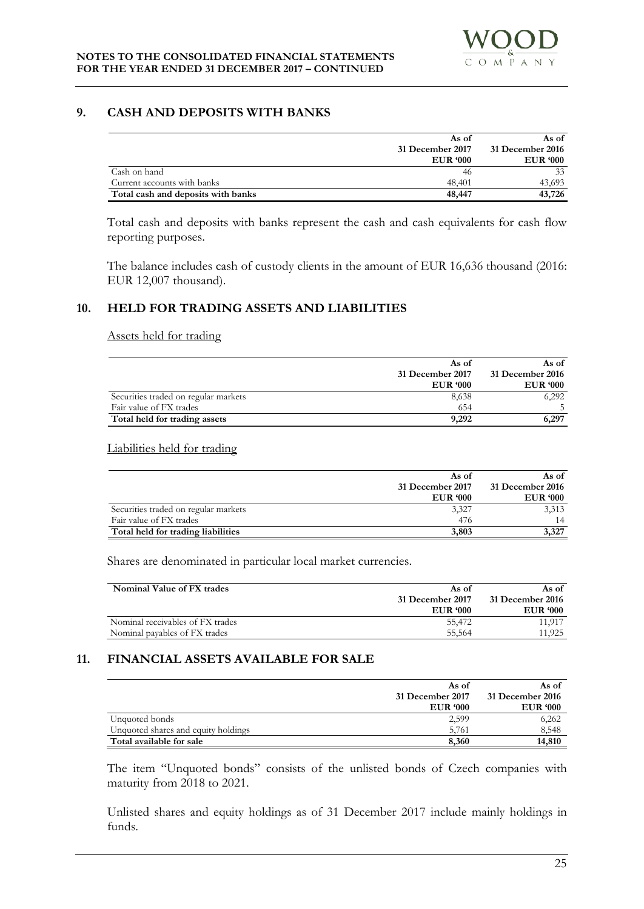# **9. CASH AND DEPOSITS WITH BANKS**

|                                    | As of            | As of            |
|------------------------------------|------------------|------------------|
|                                    | 31 December 2017 | 31 December 2016 |
|                                    | <b>EUR</b> '000  | <b>EUR '000</b>  |
| Cash on hand                       | 46               | 33               |
| Current accounts with banks        | 48,401           | 43.693           |
| Total cash and deposits with banks | 48,447           | 43,726           |

Total cash and deposits with banks represent the cash and cash equivalents for cash flow reporting purposes.

The balance includes cash of custody clients in the amount of EUR 16,636 thousand (2016: EUR 12,007 thousand).

# **10. HELD FOR TRADING ASSETS AND LIABILITIES**

# Assets held for trading

|                                      | As of            | As of            |
|--------------------------------------|------------------|------------------|
|                                      | 31 December 2017 | 31 December 2016 |
|                                      | <b>EUR</b> '000  | <b>EUR</b> '000  |
| Securities traded on regular markets | 8,638            | 6,292            |
| Fair value of FX trades              | 654              |                  |
| Total held for trading assets        | 9.292            | 6,297            |

# Liabilities held for trading

|                                      | As of<br>31 December 2017<br><b>EUR '000</b> | As of<br>31 December 2016<br><b>EUR '000</b> |
|--------------------------------------|----------------------------------------------|----------------------------------------------|
| Securities traded on regular markets | 3,327                                        | 3,313                                        |
| Fair value of FX trades              | 476                                          | 14                                           |
| Total held for trading liabilities   | 3,803                                        | 3,327                                        |

Shares are denominated in particular local market currencies.

| Nominal Value of FX trades       | As of<br>31 December 2017<br><b>EUR</b> '000 | As of<br><b>31 December 2016</b><br><b>EUR</b> '000 |
|----------------------------------|----------------------------------------------|-----------------------------------------------------|
| Nominal receivables of FX trades | 55.472                                       | 11.917                                              |
| Nominal payables of FX trades    | 55.564                                       | 1.925                                               |

# **11. FINANCIAL ASSETS AVAILABLE FOR SALE**

|                                     | As of<br>31 December 2017<br><b>EUR '000</b> | As of<br>31 December 2016<br><b>EUR</b> '000 |
|-------------------------------------|----------------------------------------------|----------------------------------------------|
| Unquoted bonds                      | 2,599                                        | 6,262                                        |
| Unquoted shares and equity holdings | 5.761                                        | 8,548                                        |
| Total available for sale            | 8.360                                        | 14,810                                       |

The item "Unquoted bonds" consists of the unlisted bonds of Czech companies with maturity from 2018 to 2021.

Unlisted shares and equity holdings as of 31 December 2017 include mainly holdings in funds.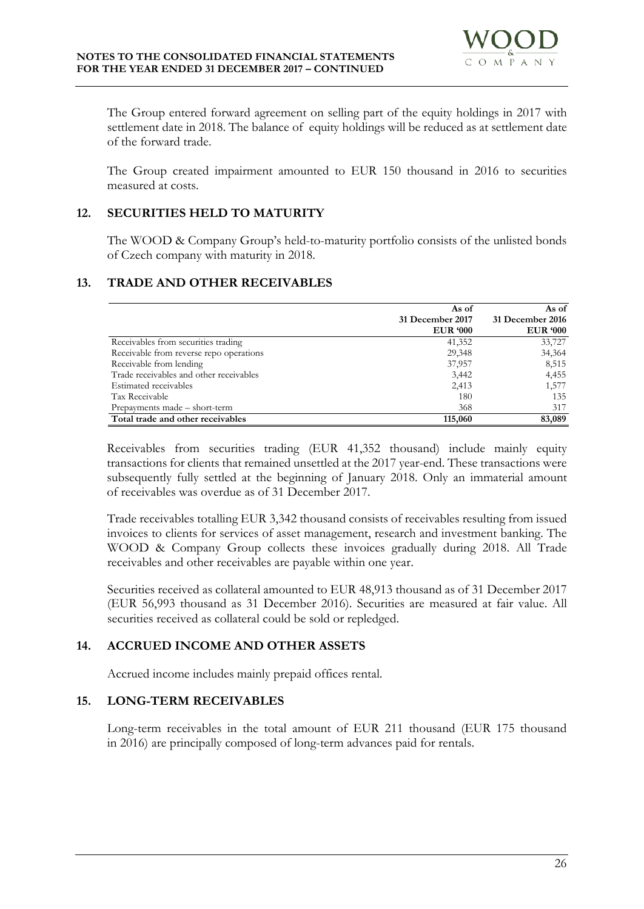

The Group entered forward agreement on selling part of the equity holdings in 2017 with settlement date in 2018. The balance of equity holdings will be reduced as at settlement date of the forward trade.

The Group created impairment amounted to EUR 150 thousand in 2016 to securities measured at costs.

# **12. SECURITIES HELD TO MATURITY**

The WOOD & Company Group's held-to-maturity portfolio consists of the unlisted bonds of Czech company with maturity in 2018.

# **13. TRADE AND OTHER RECEIVABLES**

|                                         | As of            | As of            |
|-----------------------------------------|------------------|------------------|
|                                         | 31 December 2017 | 31 December 2016 |
|                                         | <b>EUR</b> '000  | <b>EUR</b> '000  |
| Receivables from securities trading     | 41,352           | 33,727           |
| Receivable from reverse repo operations | 29,348           | 34,364           |
| Receivable from lending                 | 37,957           | 8,515            |
| Trade receivables and other receivables | 3,442            | 4,455            |
| Estimated receivables                   | 2,413            | 1,577            |
| Tax Receivable                          | 180              | 135              |
| Prepayments made – short-term           | 368              | 317              |
| Total trade and other receivables       | 115,060          | 83,089           |

Receivables from securities trading (EUR 41,352 thousand) include mainly equity transactions for clients that remained unsettled at the 2017 year-end. These transactions were subsequently fully settled at the beginning of January 2018. Only an immaterial amount of receivables was overdue as of 31 December 2017.

Trade receivables totalling EUR 3,342 thousand consists of receivables resulting from issued invoices to clients for services of asset management, research and investment banking. The WOOD & Company Group collects these invoices gradually during 2018. All Trade receivables and other receivables are payable within one year.

Securities received as collateral amounted to EUR 48,913 thousand as of 31 December 2017 (EUR 56,993 thousand as 31 December 2016). Securities are measured at fair value. All securities received as collateral could be sold or repledged.

# **14. ACCRUED INCOME AND OTHER ASSETS**

Accrued income includes mainly prepaid offices rental.

# **15. LONG-TERM RECEIVABLES**

Long-term receivables in the total amount of EUR 211 thousand (EUR 175 thousand in 2016) are principally composed of long-term advances paid for rentals.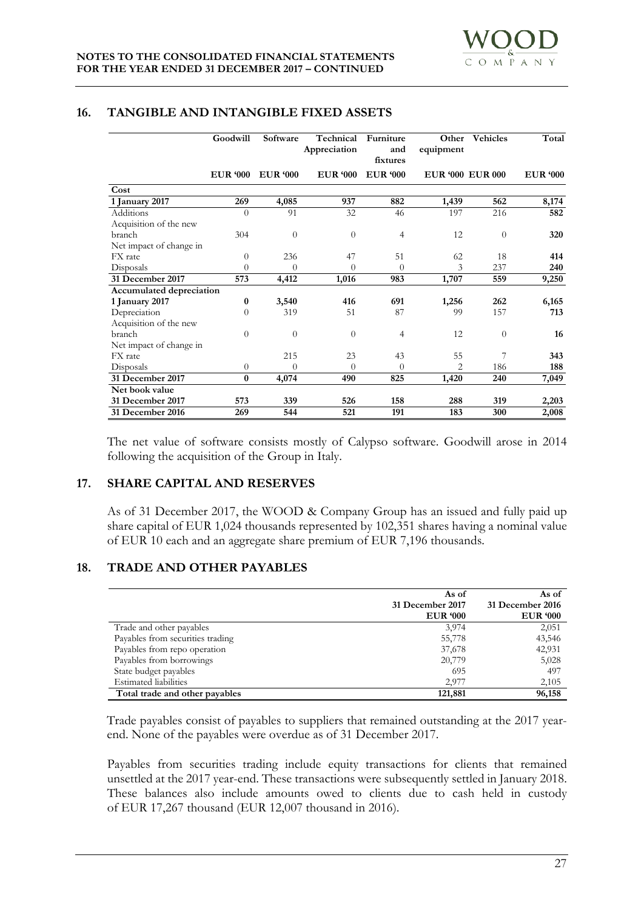|                          | Goodwill        | Software        | Technical<br>Appreciation | Furniture<br>and | Other<br>equipment      | <b>Vehicles</b> | Total           |
|--------------------------|-----------------|-----------------|---------------------------|------------------|-------------------------|-----------------|-----------------|
|                          |                 |                 |                           | fixtures         |                         |                 |                 |
|                          | <b>EUR '000</b> | <b>EUR '000</b> | <b>EUR '000</b>           | <b>EUR '000</b>  | <b>EUR '000 EUR 000</b> |                 | <b>EUR '000</b> |
| Cost                     |                 |                 |                           |                  |                         |                 |                 |
| 1 January 2017           | 269             | 4,085           | 937                       | 882              | 1,439                   | 562             | 8,174           |
| Additions                | $\Omega$        | 91              | 32                        | 46               | 197                     | 216             | 582             |
| Acquisition of the new   |                 |                 |                           |                  |                         |                 |                 |
| branch                   | 304             | $\overline{0}$  | $\theta$                  | 4                | 12                      | $\theta$        | 320             |
| Net impact of change in  |                 |                 |                           |                  |                         |                 |                 |
| FX rate                  | $\theta$        | 236             | 47                        | 51               | 62                      | 18              | 414             |
| Disposals                | $\overline{0}$  | $\Omega$        | $\Omega$                  | $\Omega$         | 3                       | 237             | 240             |
| 31 December 2017         | 573             | 4,412           | 1,016                     | 983              | 1,707                   | 559             | 9,250           |
| Accumulated depreciation |                 |                 |                           |                  |                         |                 |                 |
| 1 January 2017           | $\bf{0}$        | 3,540           | 416                       | 691              | 1,256                   | 262             | 6,165           |
| Depreciation             | $\Omega$        | 319             | 51                        | 87               | 99                      | 157             | 713             |
| Acquisition of the new   |                 |                 |                           |                  |                         |                 |                 |
| branch                   | $\theta$        | $\theta$        | $\theta$                  | 4                | 12                      | $\overline{0}$  | 16              |
| Net impact of change in  |                 |                 |                           |                  |                         |                 |                 |
| FX rate                  |                 | 215             | 23                        | 43               | 55                      | 7               | 343             |
| Disposals                | $\overline{0}$  | $\theta$        | $\Omega$                  | $\Omega$         | $\overline{2}$          | 186             | 188             |
| 31 December 2017         | $\bf{0}$        | 4,074           | 490                       | 825              | 1,420                   | 240             | 7,049           |
| Net book value           |                 |                 |                           |                  |                         |                 |                 |
| 31 December 2017         | 573             | 339             | 526                       | 158              | 288                     | 319             | 2,203           |
| 31 December 2016         | 269             | 544             | 521                       | 191              | 183                     | 300             | 2,008           |

# **16. TANGIBLE AND INTANGIBLE FIXED ASSETS**

The net value of software consists mostly of Calypso software. Goodwill arose in 2014 following the acquisition of the Group in Italy.

# **17. SHARE CAPITAL AND RESERVES**

As of 31 December 2017, the WOOD & Company Group has an issued and fully paid up share capital of EUR 1,024 thousands represented by 102,351 shares having a nominal value of EUR 10 each and an aggregate share premium of EUR 7,196 thousands.

# **18. TRADE AND OTHER PAYABLES**

|                                  | As of<br>31 December 2017<br><b>EUR</b> '000 | As of<br>31 December 2016<br><b>EUR</b> '000 |
|----------------------------------|----------------------------------------------|----------------------------------------------|
| Trade and other payables         | 3,974                                        | 2,051                                        |
| Payables from securities trading | 55,778                                       | 43,546                                       |
| Payables from repo operation     | 37,678                                       | 42,931                                       |
| Payables from borrowings         | 20,779                                       | 5,028                                        |
| State budget payables            | 695                                          | 497                                          |
| <b>Estimated liabilities</b>     | 2.977                                        | 2,105                                        |
| Total trade and other payables   | 121,881                                      | 96,158                                       |

Trade payables consist of payables to suppliers that remained outstanding at the 2017 yearend. None of the payables were overdue as of 31 December 2017.

Payables from securities trading include equity transactions for clients that remained unsettled at the 2017 year-end. These transactions were subsequently settled in January 2018. These balances also include amounts owed to clients due to cash held in custody of EUR 17,267 thousand (EUR 12,007 thousand in 2016).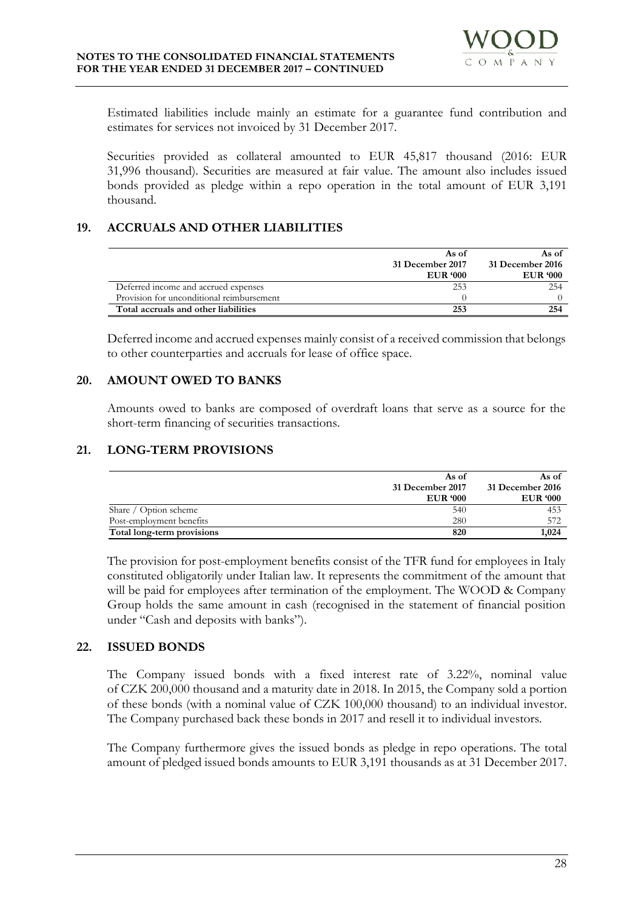Estimated liabilities include mainly an estimate for a guarantee fund contribution and estimates for services not invoiced by 31 December 2017.

Securities provided as collateral amounted to EUR 45,817 thousand (2016: EUR 31,996 thousand). Securities are measured at fair value. The amount also includes issued bonds provided as pledge within a repo operation in the total amount of EUR 3,191 thousand.

# **19. ACCRUALS AND OTHER LIABILITIES**

|                                           | As of            | As of            |
|-------------------------------------------|------------------|------------------|
|                                           | 31 December 2017 | 31 December 2016 |
|                                           | <b>EUR</b> '000  | <b>EUR</b> '000  |
| Deferred income and accrued expenses      | 253              | 254              |
| Provision for unconditional reimbursement |                  |                  |
| Total accruals and other liabilities      | 253              | 254              |

Deferred income and accrued expenses mainly consist of a received commission that belongs to other counterparties and accruals for lease of office space.

# **20. AMOUNT OWED TO BANKS**

Amounts owed to banks are composed of overdraft loans that serve as a source for the short-term financing of securities transactions.

# **21. LONG-TERM PROVISIONS**

|                            | As of            | As of            |
|----------------------------|------------------|------------------|
|                            | 31 December 2017 | 31 December 2016 |
|                            | <b>EUR</b> '000  | <b>EUR '000</b>  |
| Share / Option scheme      | 540              | 453              |
| Post-employment benefits   | 280              | 572              |
| Total long-term provisions | 820              | 0.024            |

The provision for post-employment benefits consist of the TFR fund for employees in Italy constituted obligatorily under Italian law. It represents the commitment of the amount that will be paid for employees after termination of the employment. The WOOD & Company Group holds the same amount in cash (recognised in the statement of financial position under "Cash and deposits with banks").

# **22. ISSUED BONDS**

The Company issued bonds with a fixed interest rate of 3.22%, nominal value of CZK 200,000 thousand and a maturity date in 2018. In 2015, the Company sold a portion of these bonds (with a nominal value of CZK 100,000 thousand) to an individual investor. The Company purchased back these bonds in 2017 and resell it to individual investors.

The Company furthermore gives the issued bonds as pledge in repo operations. The total amount of pledged issued bonds amounts to EUR 3,191 thousands as at 31 December 2017.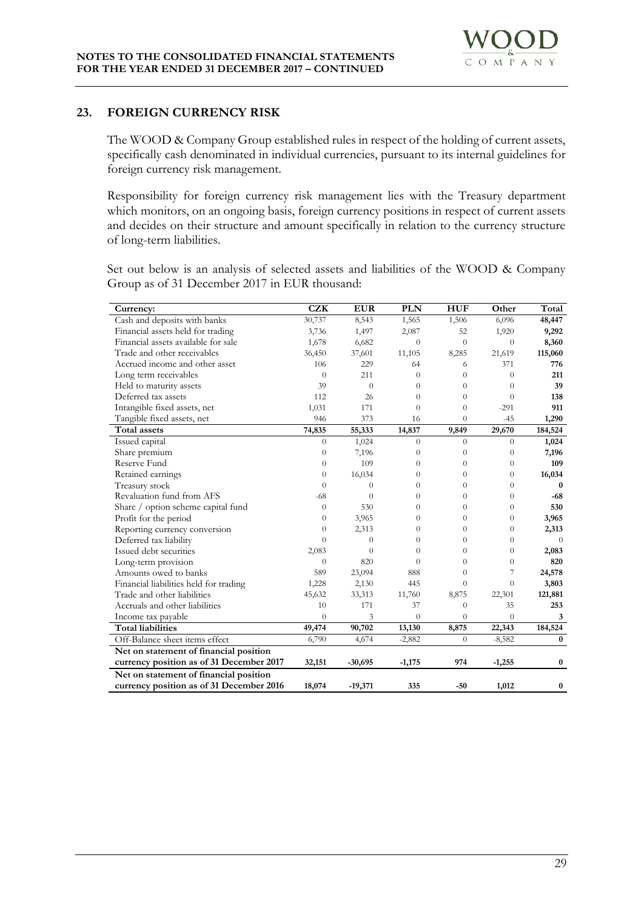

# **23. FOREIGN CURRENCY RISK**

The WOOD & Company Group established rules in respect of the holding of current assets, specifically cash denominated in individual currencies, pursuant to its internal guidelines for foreign currency risk management.

Responsibility for foreign currency risk management lies with the Treasury department which monitors, on an ongoing basis, foreign currency positions in respect of current assets and decides on their structure and amount specifically in relation to the currency structure of long-term liabilities.

Set out below is an analysis of selected assets and liabilities of the WOOD & Company Group as of 31 December 2017 in EUR thousand:

| Currency:                                | <b>CZK</b> | <b>EUR</b> | <b>PLN</b> | <b>HUF</b>     | Other          | Total    |
|------------------------------------------|------------|------------|------------|----------------|----------------|----------|
| Cash and deposits with banks             | 30,737     | 8,543      | 1,565      | 1,506          | 6,096          | 48,447   |
| Financial assets held for trading        | 3,736      | 1,497      | 2,087      | 52             | 1,920          | 9,292    |
| Financial assets available for sale      | 1,678      | 6,682      | $\theta$   | $\theta$       | $\Omega$       | 8,360    |
| Trade and other receivables              | 36,450     | 37,601     | 11,105     | 8,285          | 21,619         | 115,060  |
| Accrued income and other asset           | 106        | 229        | 64         | 6              | 371            | 776      |
| Long term receivables                    | $\theta$   | 211        | $\theta$   | $\theta$       | $\Omega$       | 211      |
| Held to maturity assets                  | 39         | $\theta$   | $\theta$   | $\overline{0}$ | $\Omega$       | 39       |
| Deferred tax assets                      | 112        | 26         | $\theta$   | $\theta$       | $\theta$       | 138      |
| Intangible fixed assets, net             | 1,031      | 171        | $\theta$   | $\Omega$       | $-291$         | 911      |
| Tangible fixed assets, net               | 946        | 373        | 16         | $\theta$       | $-45$          | 1,290    |
| <b>Total assets</b>                      | 74,835     | 55,333     | 14,837     | 9,849          | 29,670         | 184,524  |
| Issued capital                           | $\theta$   | 1,024      | $\theta$   | $\theta$       | $\theta$       | 1,024    |
| Share premium                            | $\theta$   | 7,196      | $\theta$   | $\theta$       | $\theta$       | 7,196    |
| Reserve Fund                             | $\theta$   | 109        | $\theta$   | $\theta$       | $\theta$       | 109      |
| Retained earnings                        | 0          | 16,034     | $\theta$   | $\theta$       | $\theta$       | 16,034   |
| Treasury stock                           | $\Omega$   | $\Omega$   | $\Omega$   | $\Omega$       | $\Omega$       | $\bf{0}$ |
| Revaluation fund from AFS                | $-68$      | $\Omega$   | $\Omega$   | $\Omega$       | $\Omega$       | $-68$    |
| Share / option scheme capital fund       | $\Omega$   | 530        | $\Omega$   | $\theta$       | $\Omega$       | 530      |
| Profit for the period                    | $\Omega$   | 3,965      | $\Omega$   | $\Omega$       | 0              | 3,965    |
| Reporting currency conversion            | $\theta$   | 2,313      | $\theta$   | $\theta$       | $\Omega$       | 2,313    |
| Deferred tax liability                   | $\Omega$   | $\Omega$   | $\theta$   | $\theta$       | $\Omega$       | $\Omega$ |
| Issued debt securities                   | 2,083      | $\Omega$   | $\theta$   | $\theta$       | $\Omega$       | 2,083    |
| Long-term provision                      | $\theta$   | 820        | $\theta$   | $\theta$       | $\overline{0}$ | 820      |
| Amounts owed to banks                    | 589        | 23,094     | 888        | $\theta$       | 7              | 24,578   |
| Financial liabilities held for trading   | 1,228      | 2,130      | 445        | $\Omega$       | $\theta$       | 3,803    |
| Trade and other liabilities              | 45,632     | 33,313     | 11,760     | 8,875          | 22,301         | 121,881  |
| Accruals and other liabilities           | 10         | 171        | 37         | $\Omega$       | 35             | 253      |
| Income tax payable                       | $\Omega$   | 3          | $\theta$   | $\theta$       | $\theta$       | 3        |
| <b>Total liabilities</b>                 | 49,474     | 90,702     | 13,130     | 8,875          | 22,343         | 184,524  |
| Off-Balance sheet items effect           | 6,790      | 4,674      | $-2,882$   | $\theta$       | $-8,582$       | $\bf{0}$ |
| Net on statement of financial position   |            |            |            |                |                |          |
| currency position as of 31 December 2017 | 32,151     | $-30,695$  | $-1,175$   | 974            | $-1,255$       | $\bf{0}$ |
| Net on statement of financial position   |            |            |            |                |                |          |
| currency position as of 31 December 2016 | 18,074     | $-19,371$  | 335        | $-50$          | 1,012          | $\bf{0}$ |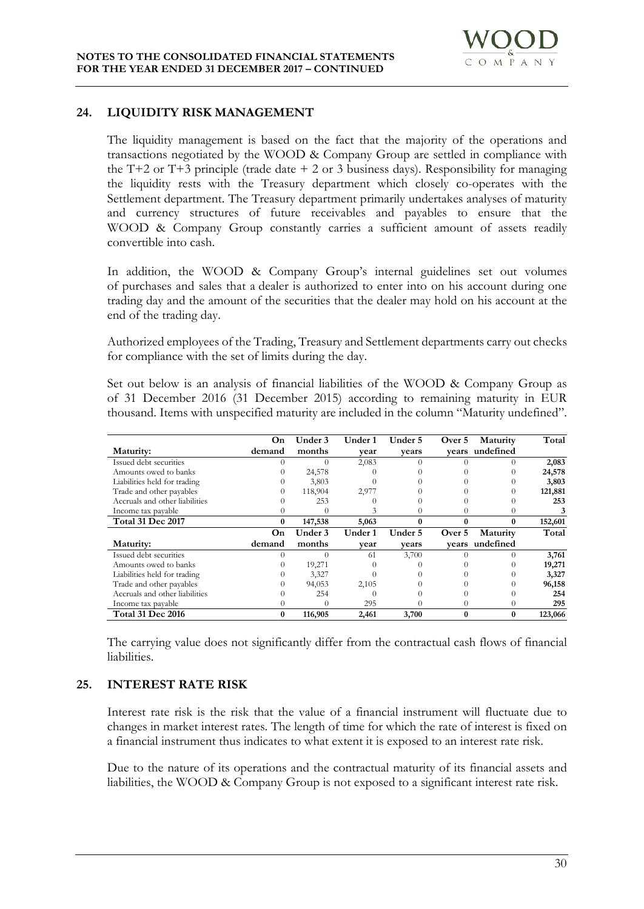

# **24. LIQUIDITY RISK MANAGEMENT**

The liquidity management is based on the fact that the majority of the operations and transactions negotiated by the WOOD & Company Group are settled in compliance with the T+2 or T+3 principle (trade date  $+ 2$  or 3 business days). Responsibility for managing the liquidity rests with the Treasury department which closely co-operates with the Settlement department. The Treasury department primarily undertakes analyses of maturity and currency structures of future receivables and payables to ensure that the WOOD & Company Group constantly carries a sufficient amount of assets readily convertible into cash.

In addition, the WOOD & Company Group's internal guidelines set out volumes of purchases and sales that a dealer is authorized to enter into on his account during one trading day and the amount of the securities that the dealer may hold on his account at the end of the trading day.

Authorized employees of the Trading, Treasury and Settlement departments carry out checks for compliance with the set of limits during the day.

Set out below is an analysis of financial liabilities of the WOOD & Company Group as of 31 December 2016 (31 December 2015) according to remaining maturity in EUR thousand. Items with unspecified maturity are included in the column "Maturity undefined".

|                                | On       | Under 3  | Under 1 | Under 5  | Over 5 | Maturity     | Total   |
|--------------------------------|----------|----------|---------|----------|--------|--------------|---------|
| Maturity:                      | demand   | months   | vear    | vears    | vears  | undefined    |         |
| Issued debt securities         |          |          | 2,083   |          |        |              | 2,083   |
| Amounts owed to banks          |          | 24,578   |         |          |        |              | 24,578  |
| Liabilities held for trading   |          | 3,803    |         |          |        |              | 3,803   |
| Trade and other payables       | $^{(1)}$ | 118,904  | 2,977   |          |        |              | 121,881 |
| Accruals and other liabilities |          | 253      |         |          |        |              | 253     |
| Income tax payable             | 0        | 0        |         |          |        | 0            |         |
| <b>Total 31 Dec 2017</b>       | 0        | 147,538  | 5,063   | $\bf{0}$ | 0      | $\bf{0}$     | 152,601 |
|                                | On.      | Under 3  | Under 1 | Under 5  | Over 5 | Maturity     | Total   |
| Maturity:                      | demand   | months   | vear    | vears    | vears  | undefined    |         |
| Issued debt securities         | 0        | 0        | 61      | 3,700    |        | $\Omega$     | 3,761   |
| Amounts owed to banks          | $^{(1)}$ | 19,271   |         |          |        |              | 19,271  |
| Liabilities held for trading   |          | 3,327    |         |          |        |              | 3,327   |
| Trade and other payables       |          | 94,053   | 2,105   |          |        |              | 96,158  |
| Accruals and other liabilities |          | 254      |         |          |        |              | 254     |
| Income tax payable             |          | $\Omega$ | 295     |          |        | 0            | 295     |
| <b>Total 31 Dec 2016</b>       | 0        | 116,905  | 2,461   | 3,700    | 0      | $\mathbf{0}$ | 123,066 |

The carrying value does not significantly differ from the contractual cash flows of financial liabilities.

# **25. INTEREST RATE RISK**

Interest rate risk is the risk that the value of a financial instrument will fluctuate due to changes in market interest rates. The length of time for which the rate of interest is fixed on a financial instrument thus indicates to what extent it is exposed to an interest rate risk.

Due to the nature of its operations and the contractual maturity of its financial assets and liabilities, the WOOD & Company Group is not exposed to a significant interest rate risk.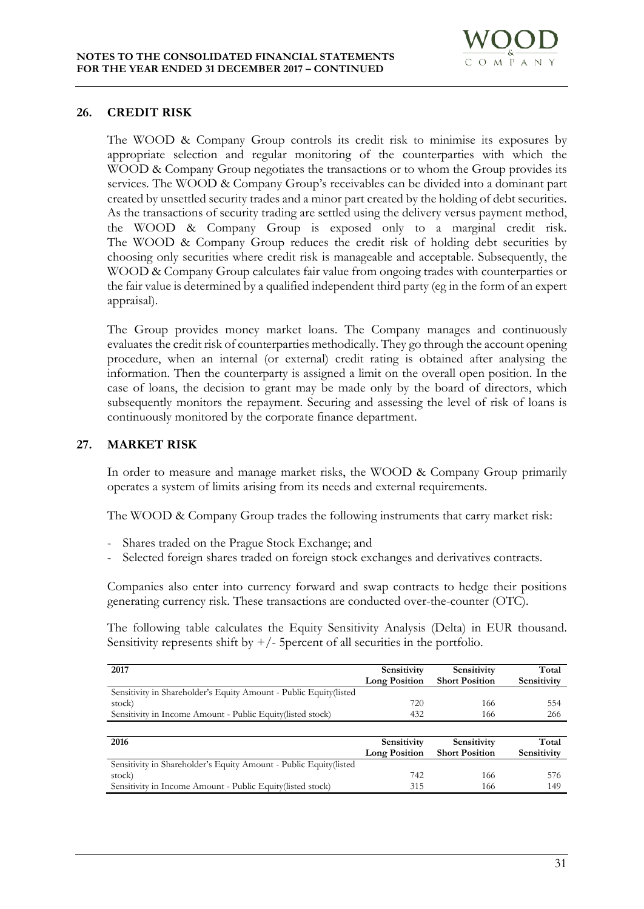

# **26. CREDIT RISK**

The WOOD & Company Group controls its credit risk to minimise its exposures by appropriate selection and regular monitoring of the counterparties with which the WOOD & Company Group negotiates the transactions or to whom the Group provides its services. The WOOD & Company Group's receivables can be divided into a dominant part created by unsettled security trades and a minor part created by the holding of debt securities. As the transactions of security trading are settled using the delivery versus payment method, the WOOD & Company Group is exposed only to a marginal credit risk. The WOOD & Company Group reduces the credit risk of holding debt securities by choosing only securities where credit risk is manageable and acceptable. Subsequently, the WOOD & Company Group calculates fair value from ongoing trades with counterparties or the fair value is determined by a qualified independent third party (eg in the form of an expert appraisal).

The Group provides money market loans. The Company manages and continuously evaluates the credit risk of counterparties methodically. They go through the account opening procedure, when an internal (or external) credit rating is obtained after analysing the information. Then the counterparty is assigned a limit on the overall open position. In the case of loans, the decision to grant may be made only by the board of directors, which subsequently monitors the repayment. Securing and assessing the level of risk of loans is continuously monitored by the corporate finance department.

# **27. MARKET RISK**

In order to measure and manage market risks, the WOOD & Company Group primarily operates a system of limits arising from its needs and external requirements.

The WOOD & Company Group trades the following instruments that carry market risk:

- Shares traded on the Prague Stock Exchange; and
- Selected foreign shares traded on foreign stock exchanges and derivatives contracts.

Companies also enter into currency forward and swap contracts to hedge their positions generating currency risk. These transactions are conducted over-the-counter (OTC).

The following table calculates the Equity Sensitivity Analysis (Delta) in EUR thousand. Sensitivity represents shift by  $+/-$  5percent of all securities in the portfolio.

| 2017                                                               | Sensitivity          | Sensitivity           | Total       |
|--------------------------------------------------------------------|----------------------|-----------------------|-------------|
|                                                                    | <b>Long Position</b> | <b>Short Position</b> | Sensitivity |
| Sensitivity in Shareholder's Equity Amount - Public Equity (listed |                      |                       |             |
| stock)                                                             | 720                  | 166                   | 554         |
| Sensitivity in Income Amount - Public Equity (listed stock)        | 432                  | 166                   | 266         |
|                                                                    |                      |                       |             |
| 2016                                                               | Sensitivity          | Sensitivity           | Total       |
|                                                                    | <b>Long Position</b> | <b>Short Position</b> | Sensitivity |
| Sensitivity in Shareholder's Equity Amount - Public Equity (listed |                      |                       |             |
| stock)                                                             | 742                  | 166                   | 576         |
| Sensitivity in Income Amount - Public Equity (listed stock)        | 315                  | 166                   | 149         |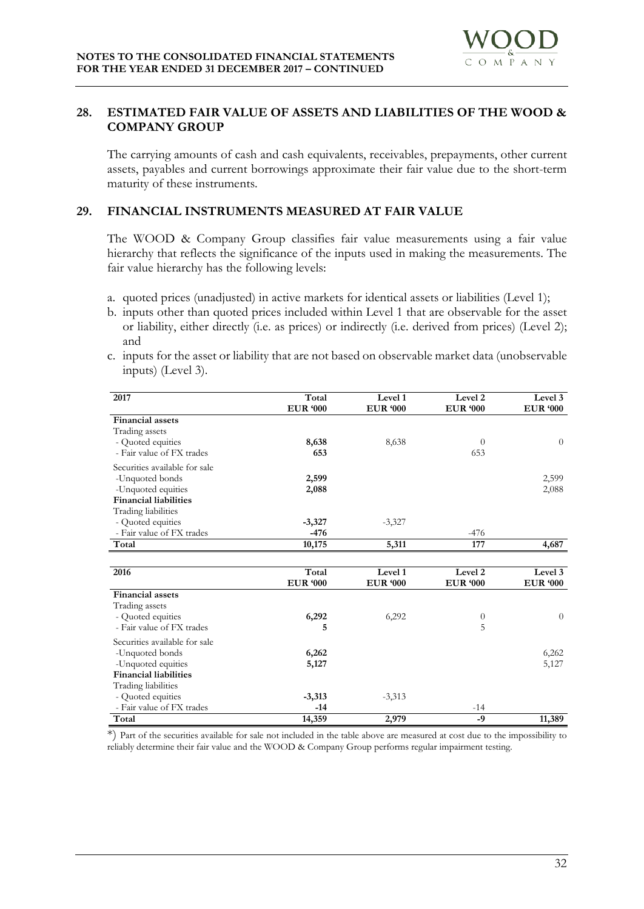

# **28. ESTIMATED FAIR VALUE OF ASSETS AND LIABILITIES OF THE WOOD & COMPANY GROUP**

The carrying amounts of cash and cash equivalents, receivables, prepayments, other current assets, payables and current borrowings approximate their fair value due to the short-term maturity of these instruments.

# **29. FINANCIAL INSTRUMENTS MEASURED AT FAIR VALUE**

The WOOD & Company Group classifies fair value measurements using a fair value hierarchy that reflects the significance of the inputs used in making the measurements. The fair value hierarchy has the following levels:

- a. quoted prices (unadjusted) in active markets for identical assets or liabilities (Level 1);
- b. inputs other than quoted prices included within Level 1 that are observable for the asset or liability, either directly (i.e. as prices) or indirectly (i.e. derived from prices) (Level 2); and
- c. inputs for the asset or liability that are not based on observable market data (unobservable inputs) (Level 3).

| 2017                          | Total           | Level 1         | Level 2            | Level 3         |
|-------------------------------|-----------------|-----------------|--------------------|-----------------|
|                               | <b>EUR '000</b> | <b>EUR '000</b> | <b>EUR '000</b>    | <b>EUR '000</b> |
| <b>Financial assets</b>       |                 |                 |                    |                 |
| Trading assets                |                 |                 |                    |                 |
| - Quoted equities             | 8,638           | 8,638           | $\theta$           | $\theta$        |
| - Fair value of FX trades     | 653             |                 | 653                |                 |
| Securities available for sale |                 |                 |                    |                 |
| -Unquoted bonds               | 2,599           |                 |                    | 2,599           |
| -Unquoted equities            | 2,088           |                 |                    | 2,088           |
| <b>Financial liabilities</b>  |                 |                 |                    |                 |
| Trading liabilities           |                 |                 |                    |                 |
| - Quoted equities             | $-3,327$        | $-3,327$        |                    |                 |
| - Fair value of FX trades     | $-476$          |                 | $-476$             |                 |
| Total                         | 10,175          | 5,311           | 177                | 4,687           |
|                               |                 |                 |                    |                 |
| 2016                          | Total           | Level 1         | Level <sub>2</sub> | Level 3         |
|                               | <b>EUR '000</b> | <b>EUR '000</b> | <b>EUR '000</b>    | <b>EUR '000</b> |
| <b>Financial assets</b>       |                 |                 |                    |                 |
| Trading assets                |                 |                 |                    |                 |
| - Quoted equities             | 6,292           | 6,292           | $\boldsymbol{0}$   | $\theta$        |
| - Fair value of FX trades     | 5               |                 | 5                  |                 |
| Securities available for sale |                 |                 |                    |                 |
| -Unquoted bonds               | 6,262           |                 |                    | 6,262           |
| -Unquoted equities            | 5,127           |                 |                    | 5,127           |
| <b>Financial liabilities</b>  |                 |                 |                    |                 |
| Trading liabilities           |                 |                 |                    |                 |
| - Quoted equities             | $-3,313$        | $-3,313$        |                    |                 |
| - Fair value of FX trades     | $-14$           |                 | $-14$              |                 |
| Total                         | 14,359          | 2,979           | $-9$               | 11,389          |

\*) Part of the securities available for sale not included in the table above are measured at cost due to the impossibility to reliably determine their fair value and the WOOD & Company Group performs regular impairment testing.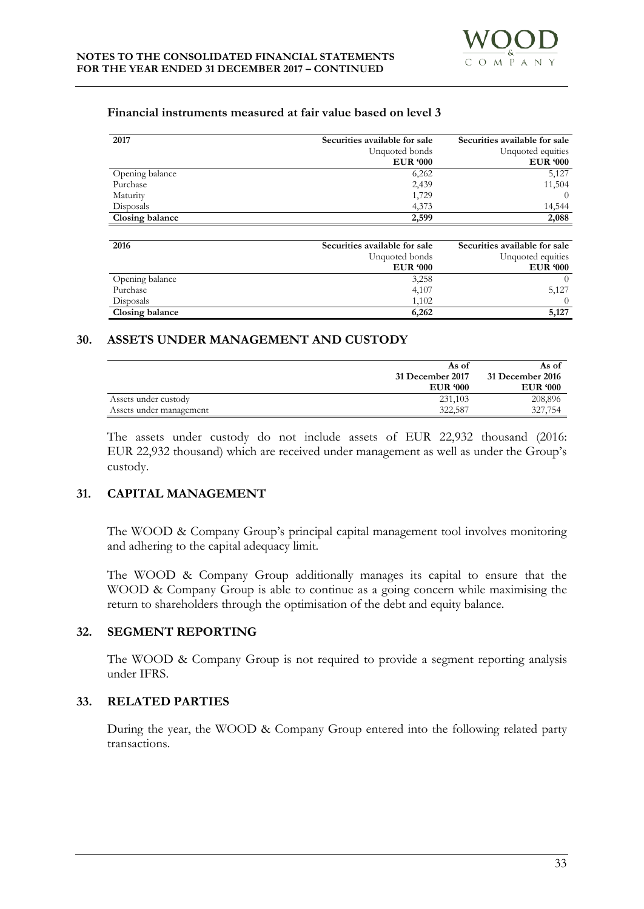

# **Financial instruments measured at fair value based on level 3**

| 2017            | Securities available for sale | Securities available for sale |
|-----------------|-------------------------------|-------------------------------|
|                 | Unquoted bonds                | Unquoted equities             |
|                 | <b>EUR</b> '000               | <b>EUR '000</b>               |
| Opening balance | 6,262                         | 5,127                         |
| Purchase        | 2,439                         | 11,504                        |
| Maturity        | 1,729                         | $\Omega$                      |
| Disposals       | 4,373                         | 14,544                        |
| Closing balance | 2,599                         | 2,088                         |

| 2016            | Securities available for sale | Securities available for sale |
|-----------------|-------------------------------|-------------------------------|
|                 | Unquoted bonds                | Unquoted equities             |
|                 | <b>EUR</b> '000               | <b>EUR '000</b>               |
| Opening balance | 3,258                         |                               |
| Purchase        | 4,107                         | 5,127                         |
| Disposals       | 1.102                         |                               |
| Closing balance | 6,262                         | 5,127                         |

# **30. ASSETS UNDER MANAGEMENT AND CUSTODY**

|                         | As of            | As of            |
|-------------------------|------------------|------------------|
|                         | 31 December 2017 | 31 December 2016 |
|                         | <b>EUR</b> '000  | <b>EUR</b> '000  |
| Assets under custody    | 231,103          | 208,896          |
| Assets under management | 322.587          | 327,754          |

The assets under custody do not include assets of EUR 22,932 thousand (2016: EUR 22,932 thousand) which are received under management as well as under the Group's custody.

# **31. CAPITAL MANAGEMENT**

The WOOD & Company Group's principal capital management tool involves monitoring and adhering to the capital adequacy limit.

The WOOD & Company Group additionally manages its capital to ensure that the WOOD & Company Group is able to continue as a going concern while maximising the return to shareholders through the optimisation of the debt and equity balance.

# **32. SEGMENT REPORTING**

The WOOD & Company Group is not required to provide a segment reporting analysis under IFRS.

# **33. RELATED PARTIES**

During the year, the WOOD & Company Group entered into the following related party transactions.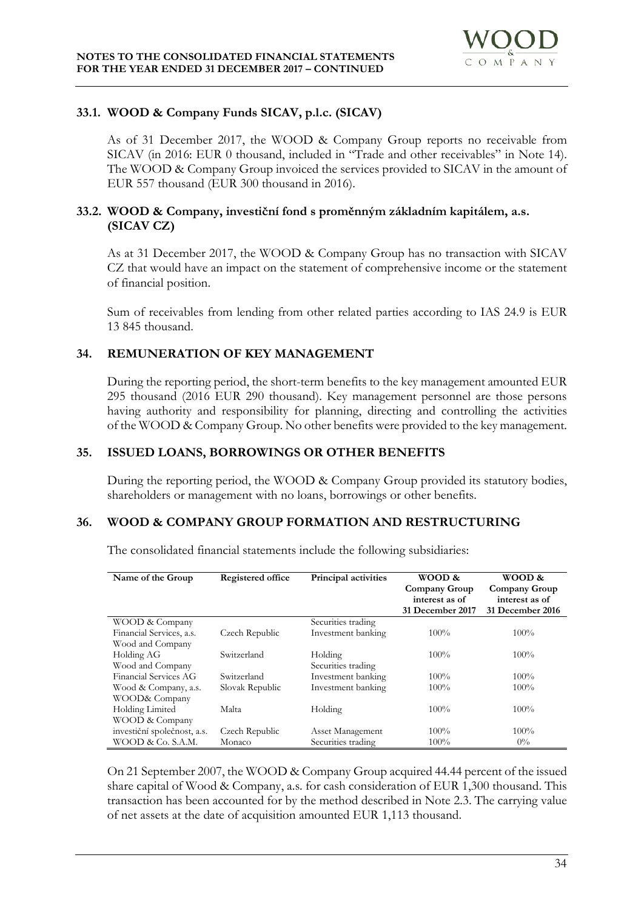

# **33.1. WOOD & Company Funds SICAV, p.l.c. (SICAV)**

As of 31 December 2017, the WOOD & Company Group reports no receivable from SICAV (in 2016: EUR 0 thousand, included in "Trade and other receivables" in Note 14). The WOOD & Company Group invoiced the services provided to SICAV in the amount of EUR 557 thousand (EUR 300 thousand in 2016).

# **33.2. WOOD & Company, investiční fond s proměnným základním kapitálem, a.s. (SICAV CZ)**

As at 31 December 2017, the WOOD & Company Group has no transaction with SICAV CZ that would have an impact on the statement of comprehensive income or the statement of financial position.

Sum of receivables from lending from other related parties according to IAS 24.9 is EUR 13 845 thousand.

# **34. REMUNERATION OF KEY MANAGEMENT**

During the reporting period, the short-term benefits to the key management amounted EUR 295 thousand (2016 EUR 290 thousand). Key management personnel are those persons having authority and responsibility for planning, directing and controlling the activities of the WOOD & Company Group. No other benefits were provided to the key management.

# **35. ISSUED LOANS, BORROWINGS OR OTHER BENEFITS**

During the reporting period, the WOOD & Company Group provided its statutory bodies, shareholders or management with no loans, borrowings or other benefits.

# **36. WOOD & COMPANY GROUP FORMATION AND RESTRUCTURING**

| Name of the Group           | <b>Registered office</b> | <b>Principal activities</b> | WOOD &           | WOOD &           |
|-----------------------------|--------------------------|-----------------------------|------------------|------------------|
|                             |                          |                             | Company Group    | Company Group    |
|                             |                          |                             | interest as of   | interest as of   |
|                             |                          |                             | 31 December 2017 | 31 December 2016 |
| WOOD & Company              |                          | Securities trading          |                  |                  |
| Financial Services, a.s.    | Czech Republic           | Investment banking          | $100\%$          | $100\%$          |
| Wood and Company            |                          |                             |                  |                  |
| Holding AG                  | Switzerland              | Holding                     | $100\%$          | $100\%$          |
| Wood and Company            |                          | Securities trading          |                  |                  |
| Financial Services AG       | Switzerland              | Investment banking          | $100\%$          | $100\%$          |
| Wood & Company, a.s.        | Slovak Republic          | Investment banking          | $100\%$          | $100\%$          |
| WOOD& Company               |                          |                             |                  |                  |
| Holding Limited             | Malta                    | Holding                     | $100\%$          | $100\%$          |
| WOOD & Company              |                          |                             |                  |                  |
| investiční společnost, a.s. | Czech Republic           | Asset Management            | 100%             | $100\%$          |
| WOOD & Co. S.A.M.           | Monaco                   | Securities trading          | $100\%$          | $0\%$            |

The consolidated financial statements include the following subsidiaries:

On 21 September 2007, the WOOD & Company Group acquired 44.44 percent of the issued share capital of Wood & Company, a.s. for cash consideration of EUR 1,300 thousand. This transaction has been accounted for by the method described in Note 2.3. The carrying value of net assets at the date of acquisition amounted EUR 1,113 thousand.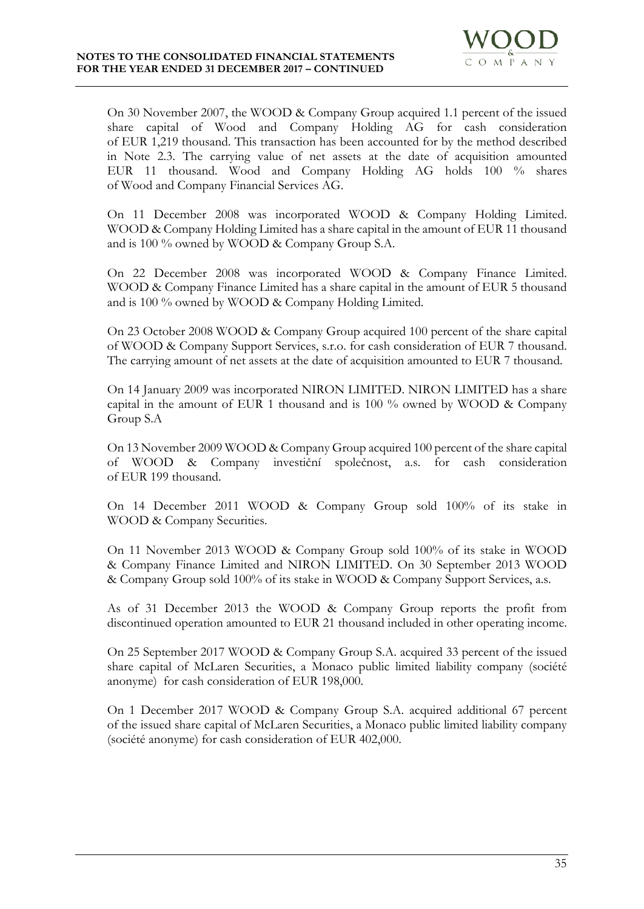

On 30 November 2007, the WOOD & Company Group acquired 1.1 percent of the issued share capital of Wood and Company Holding AG for cash consideration of EUR 1,219 thousand. This transaction has been accounted for by the method described in Note 2.3. The carrying value of net assets at the date of acquisition amounted EUR 11 thousand. Wood and Company Holding AG holds 100 % shares of Wood and Company Financial Services AG.

On 11 December 2008 was incorporated WOOD & Company Holding Limited. WOOD & Company Holding Limited has a share capital in the amount of EUR 11 thousand and is 100 % owned by WOOD & Company Group S.A.

On 22 December 2008 was incorporated WOOD & Company Finance Limited. WOOD & Company Finance Limited has a share capital in the amount of EUR 5 thousand and is 100 % owned by WOOD & Company Holding Limited.

On 23 October 2008 WOOD & Company Group acquired 100 percent of the share capital of WOOD & Company Support Services, s.r.o. for cash consideration of EUR 7 thousand. The carrying amount of net assets at the date of acquisition amounted to EUR 7 thousand.

On 14 January 2009 was incorporated NIRON LIMITED. NIRON LIMITED has a share capital in the amount of EUR 1 thousand and is 100 % owned by WOOD & Company Group S.A

On 13 November 2009 WOOD & Company Group acquired 100 percent of the share capital of WOOD & Company investiční společnost, a.s. for cash consideration of EUR 199 thousand.

On 14 December 2011 WOOD & Company Group sold 100% of its stake in WOOD & Company Securities.

On 11 November 2013 WOOD & Company Group sold 100% of its stake in WOOD & Company Finance Limited and NIRON LIMITED. On 30 September 2013 WOOD & Company Group sold 100% of its stake in WOOD & Company Support Services, a.s.

As of 31 December 2013 the WOOD & Company Group reports the profit from discontinued operation amounted to EUR 21 thousand included in other operating income.

On 25 September 2017 WOOD & Company Group S.A. acquired 33 percent of the issued share capital of McLaren Securities, a Monaco public limited liability company (société anonyme) for cash consideration of EUR 198,000.

On 1 December 2017 WOOD & Company Group S.A. acquired additional 67 percent of the issued share capital of McLaren Securities, a Monaco public limited liability company (société anonyme) for cash consideration of EUR 402,000.